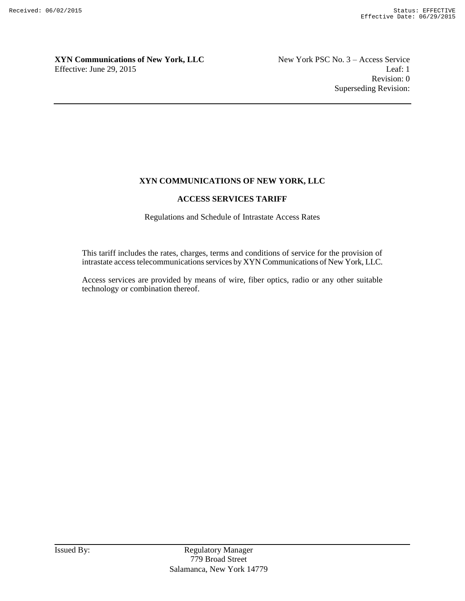Revision: 0 Superseding Revision:

#### **XYN COMMUNICATIONS OF NEW YORK, LLC**

#### **ACCESS SERVICES TARIFF**

Regulations and Schedule of Intrastate Access Rates

This tariff includes the rates, charges, terms and conditions of service for the provision of intrastate access telecommunications services by XYN Communications of New York, LLC.

Access services are provided by means of wire, fiber optics, radio or any other suitable technology or combination thereof.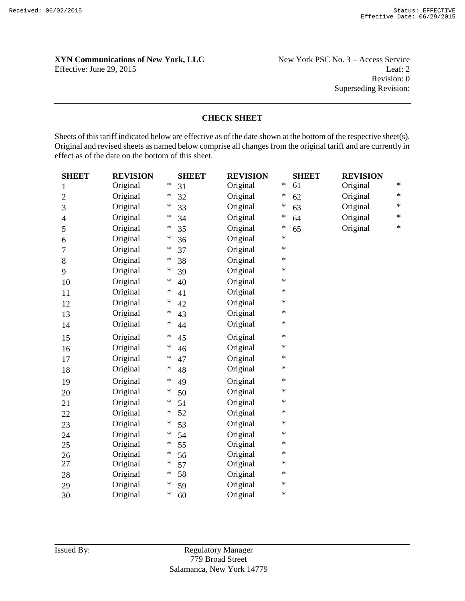Revision: 0 Superseding Revision:

#### **CHECK SHEET**

Sheets of this tariff indicated below are effective as of the date shown at the bottom of the respective sheet(s). Original and revised sheets as named below comprise all changes from the original tariff and are currently in effect as of the date on the bottom of this sheet.

| <b>SHEET</b>   | <b>REVISION</b> |        | <b>SHEET</b> | <b>REVISION</b> |           | <b>SHEET</b> | <b>REVISION</b> |        |
|----------------|-----------------|--------|--------------|-----------------|-----------|--------------|-----------------|--------|
| 1              | Original        | $\ast$ | 31           | Original        | $\ast$    | 61           | Original        | $\ast$ |
| $\overline{2}$ | Original        | $\ast$ | 32           | Original        | $\ast$    | 62           | Original        | $\ast$ |
| 3              | Original        | $\ast$ | 33           | Original        | $\ast$    | 63           | Original        | $\ast$ |
| 4              | Original        | ∗      | 34           | Original        | ∗         | 64           | Original        | $\ast$ |
| 5              | Original        | $\ast$ | 35           | Original        | $\ast$    | 65           | Original        | $\ast$ |
| 6              | Original        | $\ast$ | 36           | Original        | $\ast$    |              |                 |        |
| 7              | Original        | $\ast$ | 37           | Original        | $\ast$    |              |                 |        |
| 8              | Original        | $\ast$ | 38           | Original        | $\ast$    |              |                 |        |
| 9              | Original        | ∗      | 39           | Original        | $\ast$    |              |                 |        |
| 10             | Original        | $\ast$ | 40           | Original        | $\ast$    |              |                 |        |
| 11             | Original        | $\ast$ | 41           | Original        | $\ast$    |              |                 |        |
| 12             | Original        | $\ast$ | 42           | Original        | $\ast$    |              |                 |        |
| 13             | Original        | $\ast$ | 43           | Original        | $\ast$    |              |                 |        |
| 14             | Original        | $\ast$ | 44           | Original        | $^{\ast}$ |              |                 |        |
| 15             | Original        | $\ast$ | 45           | Original        | $\ast$    |              |                 |        |
| 16             | Original        | $\ast$ | 46           | Original        | $\ast$    |              |                 |        |
| 17             | Original        | $\ast$ | 47           | Original        | $\ast$    |              |                 |        |
| 18             | Original        | ∗      | 48           | Original        | $\ast$    |              |                 |        |
| 19             | Original        | $\ast$ | 49           | Original        | $\ast$    |              |                 |        |
| 20             | Original        | $\ast$ | 50           | Original        | $\ast$    |              |                 |        |
| 21             | Original        | $\ast$ | 51           | Original        | $\ast$    |              |                 |        |
| 22             | Original        | ∗      | 52           | Original        | $\ast$    |              |                 |        |
| 23             | Original        | $\ast$ | 53           | Original        | $\ast$    |              |                 |        |
| 24             | Original        | $\ast$ | 54           | Original        | $\ast$    |              |                 |        |
| 25             | Original        | $\ast$ | 55           | Original        | $\ast$    |              |                 |        |
| 26             | Original        | $\ast$ | 56           | Original        | $\ast$    |              |                 |        |
| 27             | Original        | $\ast$ | 57           | Original        | $\ast$    |              |                 |        |
| 28             | Original        | ∗      | 58           | Original        | $\ast$    |              |                 |        |
| 29             | Original        | $\ast$ | 59           | Original        | $\ast$    |              |                 |        |
| 30             | Original        | $\ast$ | 60           | Original        | $\ast$    |              |                 |        |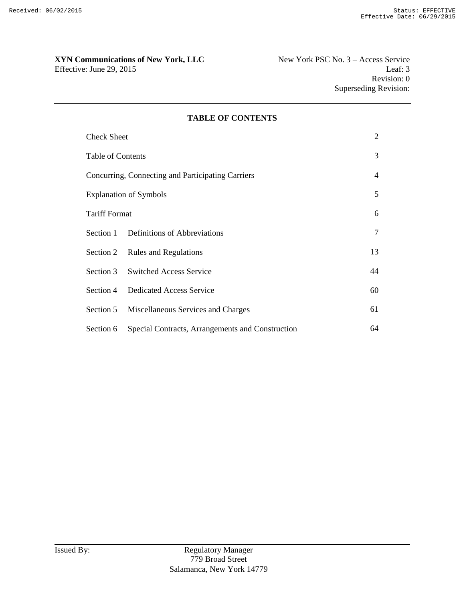### XYN Communications of New York, LLC<br>New York PSC No. 3 – Access Service

| <b>Check Sheet</b>       |                                                   | 2              |
|--------------------------|---------------------------------------------------|----------------|
| <b>Table of Contents</b> |                                                   | 3              |
|                          | Concurring, Connecting and Participating Carriers | $\overline{4}$ |
|                          | <b>Explanation of Symbols</b>                     | 5              |
| <b>Tariff Format</b>     |                                                   | 6              |
|                          | Section 1 Definitions of Abbreviations            | 7              |
|                          | Section 2 Rules and Regulations                   | 13             |
|                          | Section 3 Switched Access Service                 | 44             |
|                          | Section 4 Dedicated Access Service                | 60             |
|                          | Section 5 Miscellaneous Services and Charges      | 61             |
| Section 6                | Special Contracts, Arrangements and Construction  | 64             |

#### **TABLE OF CONTENTS**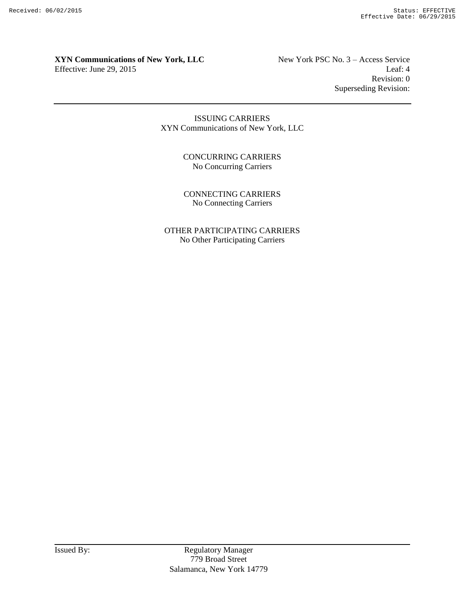## **XYN Communications of New York, LLC** New York PSC No. 3 – Access Service

Effective: June 29, 2015 Leaf: 4 Revision: 0 Superseding Revision:

> ISSUING CARRIERS XYN Communications of New York, LLC

> > CONCURRING CARRIERS No Concurring Carriers

> > CONNECTING CARRIERS No Connecting Carriers

OTHER PARTICIPATING CARRIERS No Other Participating Carriers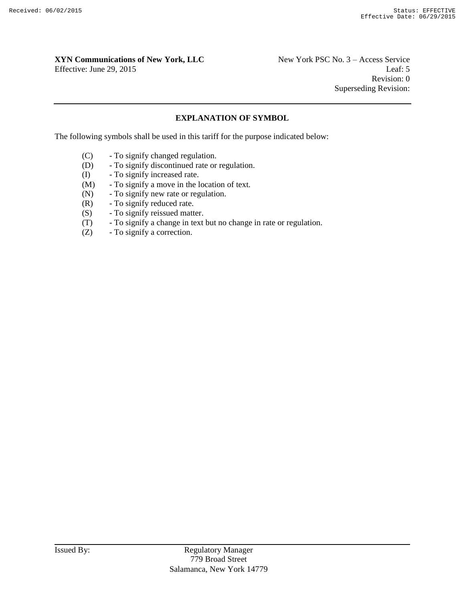## **XYN Communications of New York, LLC** New York PSC No. 3 – Access Service

Effective: June 29, 2015 Leaf: 5 Revision: 0 Superseding Revision:

#### **EXPLANATION OF SYMBOL**

The following symbols shall be used in this tariff for the purpose indicated below:

- (C) To signify changed regulation.
- (D) To signify discontinued rate or regulation.
- (I) To signify increased rate.
- (M) To signify a move in the location of text.
- (N) To signify new rate or regulation.
- (R) To signify reduced rate.
- (S) To signify reissued matter.
- (T) To signify a change in text but no change in rate or regulation.
- (Z) To signify a correction.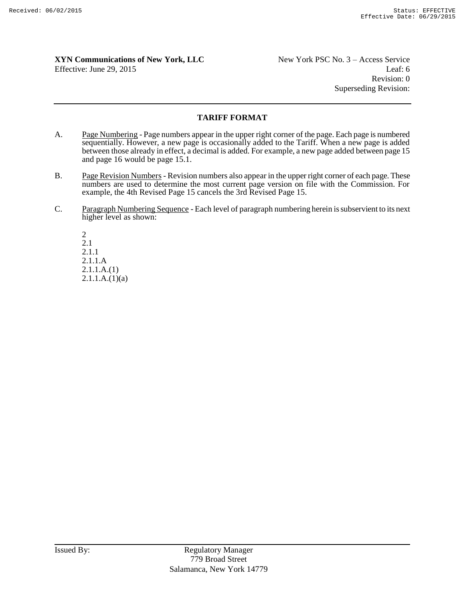Revision: 0 Superseding Revision:

#### **TARIFF FORMAT**

- A. Page Numbering Page numbers appear in the upper right corner of the page. Each page is numbered sequentially. However, a new page is occasionally added to the Tariff. When a new page is added between those already in effect, a decimal is added. For example, a new page added between page 15 and page 16 would be page 15.1.
- B. Page Revision Numbers Revision numbers also appear in the upper right corner of each page. These numbers are used to determine the most current page version on file with the Commission. For example, the 4th Revised Page 15 cancels the 3rd Revised Page 15.
- C. Paragraph Numbering Sequence Each level of paragraph numbering herein is subservient to its next higher level as shown:

2 2.1 2.1.1 2.1.1.A 2.1.1.A.(1)  $2.1.1.A.(1)(a)$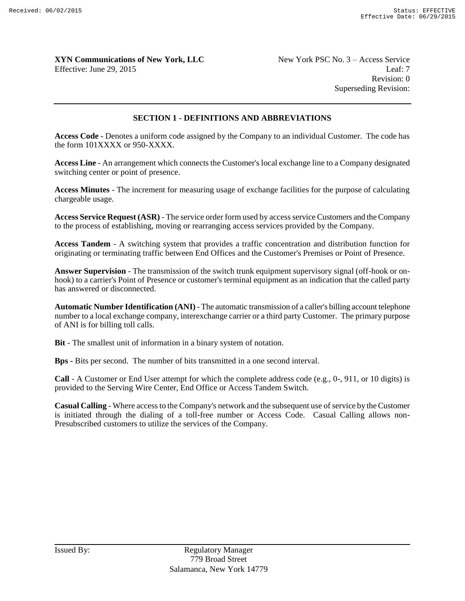Revision: 0 Superseding Revision:

#### **SECTION 1 - DEFINITIONS AND ABBREVIATIONS**

**Access Code** - Denotes a uniform code assigned by the Company to an individual Customer. The code has the form 101XXXX or 950-XXXX.

**Access Line** - An arrangement which connects the Customer's local exchange line to a Company designated switching center or point of presence.

**Access Minutes** - The increment for measuring usage of exchange facilities for the purpose of calculating chargeable usage.

**Access Service Request (ASR)** - The service order form used by access service Customers and the Company to the process of establishing, moving or rearranging access services provided by the Company.

**Access Tandem** - A switching system that provides a traffic concentration and distribution function for originating or terminating traffic between End Offices and the Customer's Premises or Point of Presence.

**Answer Supervision** - The transmission of the switch trunk equipment supervisory signal (off-hook or onhook) to a carrier's Point of Presence or customer's terminal equipment as an indication that the called party has answered or disconnected.

**Automatic Number Identification (ANI)** - The automatic transmission of a caller's billing account telephone number to a local exchange company, interexchange carrier or a third party Customer. The primary purpose of ANI is for billing toll calls.

**Bit** - The smallest unit of information in a binary system of notation.

**Bps -** Bits per second. The number of bits transmitted in a one second interval.

**Call** - A Customer or End User attempt for which the complete address code (e.g., 0-, 911, or 10 digits) is provided to the Serving Wire Center, End Office or Access Tandem Switch.

**Casual Calling** - Where access to the Company's network and the subsequent use of service by the Customer is initiated through the dialing of a toll-free number or Access Code. Casual Calling allows non-Presubscribed customers to utilize the services of the Company.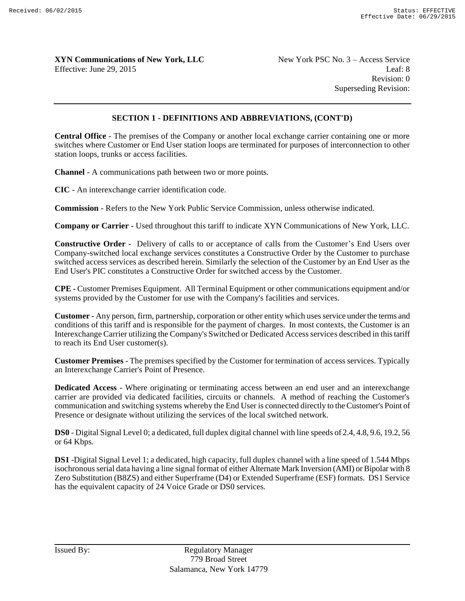Revision: 0 Superseding Revision:

#### **SECTION 1 - DEFINITIONS AND ABBREVIATIONS, (CONT'D)**

**Central Office** - The premises of the Company or another local exchange carrier containing one or more switches where Customer or End User station loops are terminated for purposes of interconnection to other station loops, trunks or access facilities.

**Channel** - A communications path between two or more points.

**CIC** - An interexchange carrier identification code.

**Commission** - Refers to the New York Public Service Commission, unless otherwise indicated.

**Company or Carrier -** Used throughout this tariff to indicate XYN Communications of New York, LLC.

**Constructive Order -** Delivery of calls to or acceptance of calls from the Customer's End Users over Company-switched local exchange services constitutes a Constructive Order by the Customer to purchase switched access services as described herein. Similarly the selection of the Customer by an End User as the End User's PIC constitutes a Constructive Order for switched access by the Customer.

**CPE** - Customer Premises Equipment. All Terminal Equipment or other communications equipment and/or systems provided by the Customer for use with the Company's facilities and services.

**Customer -** Any person, firm, partnership, corporation or other entity which uses service under the terms and conditions of this tariff and is responsible for the payment of charges. In most contexts, the Customer is an Interexchange Carrier utilizing the Company's Switched or Dedicated Access services described in this tariff to reach its End User customer(s).

**Customer Premises** - The premises specified by the Customer for termination of access services. Typically an Interexchange Carrier's Point of Presence.

**Dedicated Access** - Where originating or terminating access between an end user and an interexchange carrier are provided via dedicated facilities, circuits or channels. A method of reaching the Customer's communication and switching systems whereby the End User is connected directly to the Customer's Point of Presence or designate without utilizing the services of the local switched network.

**DS0** - Digital Signal Level 0; a dedicated, full duplex digital channel with line speeds of 2.4, 4.8, 9.6, 19.2, 56 or 64 Kbps.

**DS1** -Digital Signal Level 1; a dedicated, high capacity, full duplex channel with a line speed of 1.544 Mbps isochronous serial data having a line signal format of either Alternate Mark Inversion (AMI) or Bipolar with 8 Zero Substitution (B8ZS) and either Superframe (D4) or Extended Superframe (ESF) formats. DS1 Service has the equivalent capacity of 24 Voice Grade or DS0 services.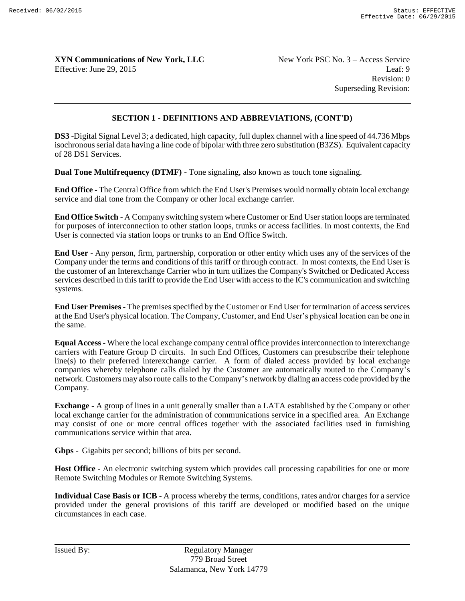Revision: 0 Superseding Revision:

#### **SECTION 1 - DEFINITIONS AND ABBREVIATIONS, (CONT'D)**

**DS3** -Digital Signal Level 3; a dedicated, high capacity, full duplex channel with a line speed of 44.736 Mbps isochronous serial data having a line code of bipolar with three zero substitution (B3ZS). Equivalent capacity of 28 DS1 Services.

**Dual Tone Multifrequency (DTMF)** - Tone signaling, also known as touch tone signaling.

**End Office** - The Central Office from which the End User's Premises would normally obtain local exchange service and dial tone from the Company or other local exchange carrier.

**End Office Switch** - A Company switching system where Customer or End User station loops are terminated for purposes of interconnection to other station loops, trunks or access facilities. In most contexts, the End User is connected via station loops or trunks to an End Office Switch.

**End User** - Any person, firm, partnership, corporation or other entity which uses any of the services of the Company under the terms and conditions of this tariff or through contract. In most contexts, the End User is the customer of an Interexchange Carrier who in turn utilizes the Company's Switched or Dedicated Access services described in this tariff to provide the End User with access to the IC's communication and switching systems.

**End User Premises** - The premises specified by the Customer or End User for termination of access services at the End User's physical location. The Company, Customer, and End User's physical location can be one in the same.

**Equal Access** - Where the local exchange company central office provides interconnection to interexchange carriers with Feature Group D circuits. In such End Offices, Customers can presubscribe their telephone line(s) to their preferred interexchange carrier. A form of dialed access provided by local exchange companies whereby telephone calls dialed by the Customer are automatically routed to the Company's network. Customers may also route calls to the Company's network by dialing an access code provided by the Company.

**Exchange** - A group of lines in a unit generally smaller than a LATA established by the Company or other local exchange carrier for the administration of communications service in a specified area. An Exchange may consist of one or more central offices together with the associated facilities used in furnishing communications service within that area.

**Gbps** - Gigabits per second; billions of bits per second.

**Host Office** - An electronic switching system which provides call processing capabilities for one or more Remote Switching Modules or Remote Switching Systems.

**Individual Case Basis or ICB** - A process whereby the terms, conditions, rates and/or charges for a service provided under the general provisions of this tariff are developed or modified based on the unique circumstances in each case.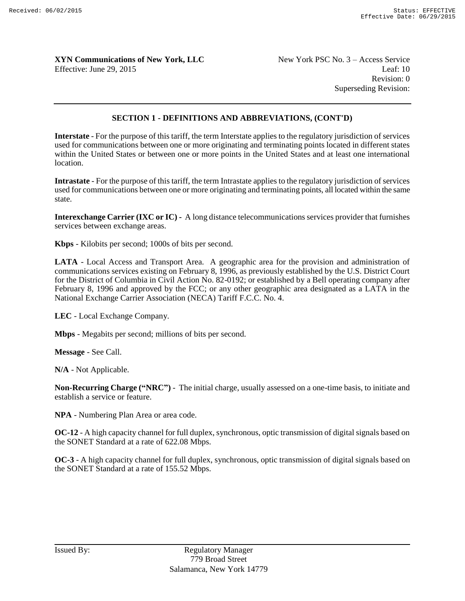Revision: 0 Superseding Revision:

#### **SECTION 1 - DEFINITIONS AND ABBREVIATIONS, (CONT'D)**

**Interstate** - For the purpose of this tariff, the term Interstate applies to the regulatory jurisdiction of services used for communications between one or more originating and terminating points located in different states within the United States or between one or more points in the United States and at least one international location.

**Intrastate** - For the purpose of this tariff, the term Intrastate applies to the regulatory jurisdiction of services used for communications between one or more originating and terminating points, all located within the same state.

**Interexchange Carrier (IXC or IC) -** A long distance telecommunications services provider that furnishes services between exchange areas.

**Kbps** - Kilobits per second; 1000s of bits per second.

**LATA** - Local Access and Transport Area. A geographic area for the provision and administration of communications services existing on February 8, 1996, as previously established by the U.S. District Court for the District of Columbia in Civil Action No. 82-0192; or established by a Bell operating company after February 8, 1996 and approved by the FCC; or any other geographic area designated as a LATA in the National Exchange Carrier Association (NECA) Tariff F.C.C. No. 4.

**LEC** - Local Exchange Company.

**Mbps** - Megabits per second; millions of bits per second.

**Message** - See Call.

**N/A** - Not Applicable.

**Non-Recurring Charge ("NRC")** - The initial charge, usually assessed on a one-time basis, to initiate and establish a service or feature.

**NPA** - Numbering Plan Area or area code.

**OC-12** - A high capacity channel for full duplex, synchronous, optic transmission of digital signals based on the SONET Standard at a rate of 622.08 Mbps.

**OC-3** - A high capacity channel for full duplex, synchronous, optic transmission of digital signals based on the SONET Standard at a rate of 155.52 Mbps.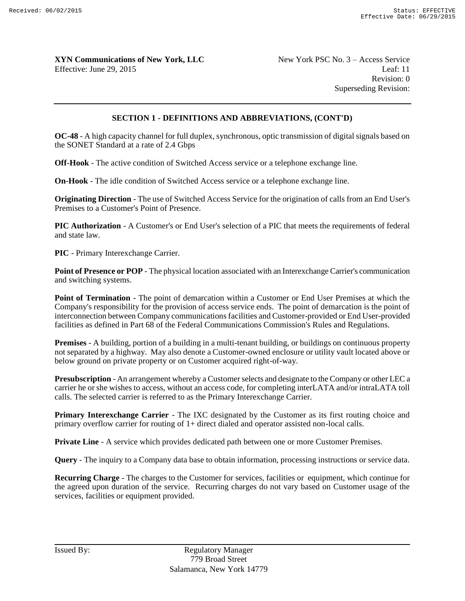Revision: 0 Superseding Revision:

#### **SECTION 1 - DEFINITIONS AND ABBREVIATIONS, (CONT'D)**

**OC-48** - A high capacity channel for full duplex, synchronous, optic transmission of digital signals based on the SONET Standard at a rate of 2.4 Gbps

**Off-Hook** - The active condition of Switched Access service or a telephone exchange line.

**On-Hook** - The idle condition of Switched Access service or a telephone exchange line.

**Originating Direction** - The use of Switched Access Service for the origination of calls from an End User's Premises to a Customer's Point of Presence.

**PIC Authorization** - A Customer's or End User's selection of a PIC that meets the requirements of federal and state law.

**PIC** - Primary Interexchange Carrier.

**Point of Presence or POP** - The physical location associated with an Interexchange Carrier's communication and switching systems.

**Point of Termination** - The point of demarcation within a Customer or End User Premises at which the Company's responsibility for the provision of access service ends. The point of demarcation is the point of interconnection between Company communications facilities and Customer-provided or End User-provided facilities as defined in Part 68 of the Federal Communications Commission's Rules and Regulations.

**Premises** - A building, portion of a building in a multi-tenant building, or buildings on continuous property not separated by a highway. May also denote a Customer-owned enclosure or utility vault located above or below ground on private property or on Customer acquired right-of-way.

**Presubscription** - An arrangement whereby a Customer selects and designate to the Company or other LEC a carrier he or she wishes to access, without an access code, for completing interLATA and/or intraLATA toll calls. The selected carrier is referred to as the Primary Interexchange Carrier.

**Primary Interexchange Carrier** - The IXC designated by the Customer as its first routing choice and primary overflow carrier for routing of 1+ direct dialed and operator assisted non-local calls.

**Private Line** - A service which provides dedicated path between one or more Customer Premises.

**Query** - The inquiry to a Company data base to obtain information, processing instructions or service data.

**Recurring Charge** - The charges to the Customer for services, facilities or equipment, which continue for the agreed upon duration of the service. Recurring charges do not vary based on Customer usage of the services, facilities or equipment provided.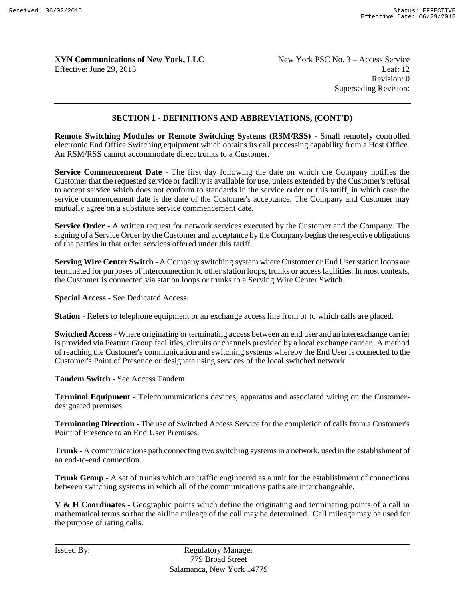Revision: 0 Superseding Revision:

#### **SECTION 1 - DEFINITIONS AND ABBREVIATIONS, (CONT'D)**

**Remote Switching Modules or Remote Switching Systems (RSM/RSS)** - Small remotely controlled electronic End Office Switching equipment which obtains its call processing capability from a Host Office. An RSM/RSS cannot accommodate direct trunks to a Customer.

**Service Commencement Date** - The first day following the date on which the Company notifies the Customer that the requested service or facility is available for use, unless extended by the Customer's refusal to accept service which does not conform to standards in the service order or this tariff, in which case the service commencement date is the date of the Customer's acceptance. The Company and Customer may mutually agree on a substitute service commencement date.

**Service Order** - A written request for network services executed by the Customer and the Company. The signing of a Service Order by the Customer and acceptance by the Company begins the respective obligations of the parties in that order services offered under this tariff.

**Serving Wire Center Switch** - A Company switching system where Customer or End User station loops are terminated for purposes of interconnection to other station loops, trunks or access facilities. In most contexts, the Customer is connected via station loops or trunks to a Serving Wire Center Switch.

**Special Access** - See Dedicated Access.

**Station** - Refers to telephone equipment or an exchange access line from or to which calls are placed.

**Switched Access** - Where originating or terminating access between an end user and an interexchange carrier is provided via Feature Group facilities, circuits or channels provided by a local exchange carrier. A method of reaching the Customer's communication and switching systems whereby the End User is connected to the Customer's Point of Presence or designate using services of the local switched network.

**Tandem Switch** - See Access Tandem.

**Terminal Equipment** - Telecommunications devices, apparatus and associated wiring on the Customerdesignated premises.

**Terminating Direction** - The use of Switched Access Service for the completion of calls from a Customer's Point of Presence to an End User Premises.

**Trunk** - A communications path connecting two switching systems in a network, used in the establishment of an end-to-end connection.

**Trunk Group** - A set of trunks which are traffic engineered as a unit for the establishment of connections between switching systems in which all of the communications paths are interchangeable.

**V & H Coordinates** - Geographic points which define the originating and terminating points of a call in mathematical terms so that the airline mileage of the call may be determined. Call mileage may be used for the purpose of rating calls.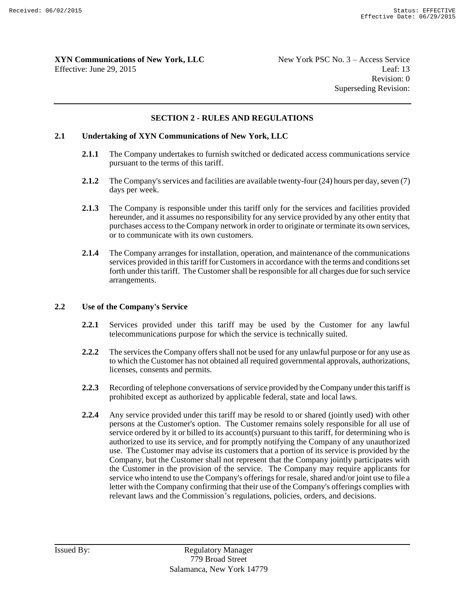Revision: 0 Superseding Revision:

#### **SECTION 2 - RULES AND REGULATIONS**

#### **2.1 Undertaking of XYN Communications of New York, LLC**

- **2.1.1** The Company undertakes to furnish switched or dedicated access communications service pursuant to the terms of this tariff.
- **2.1.2** The Company's services and facilities are available twenty-four (24) hours per day, seven (7) days per week.
- **2.1.3** The Company is responsible under this tariff only for the services and facilities provided hereunder, and it assumes no responsibility for any service provided by any other entity that purchases access to the Company network in order to originate or terminate its own services, or to communicate with its own customers.
- **2.1.4** The Company arranges for installation, operation, and maintenance of the communications services provided in this tariff for Customers in accordance with the terms and conditions set forth under this tariff. The Customer shall be responsible for all charges due for such service arrangements.

#### **2.2 Use of the Company's Service**

- **2.2.1** Services provided under this tariff may be used by the Customer for any lawful telecommunications purpose for which the service is technically suited.
- **2.2.2** The services the Company offers shall not be used for any unlawful purpose or for any use as to which the Customer has not obtained all required governmental approvals, authorizations, licenses, consents and permits.
- **2.2.3** Recording of telephone conversations of service provided by the Company under this tariff is prohibited except as authorized by applicable federal, state and local laws.
- **2.2.4** Any service provided under this tariff may be resold to or shared (jointly used) with other persons at the Customer's option. The Customer remains solely responsible for all use of service ordered by it or billed to its account(s) pursuant to this tariff, for determining who is authorized to use its service, and for promptly notifying the Company of any unauthorized use. The Customer may advise its customers that a portion of its service is provided by the Company, but the Customer shall not represent that the Company jointly participates with the Customer in the provision of the service. The Company may require applicants for service who intend to use the Company's offerings for resale, shared and/or joint use to file a letter with the Company confirming that their use of the Company's offerings complies with relevant laws and the Commission's regulations, policies, orders, and decisions.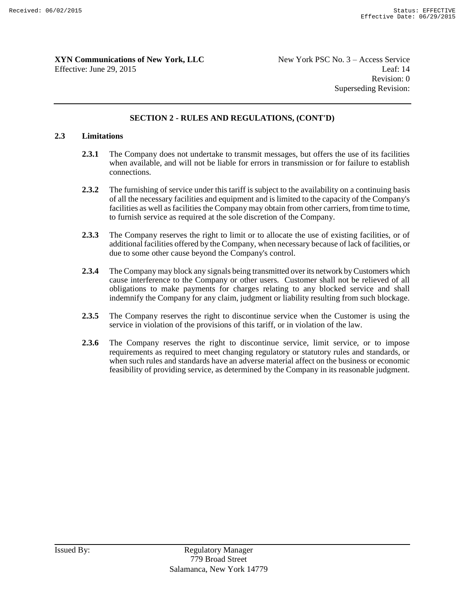Revision: 0 Superseding Revision:

#### **SECTION 2 - RULES AND REGULATIONS, (CONT'D)**

#### **2.3 Limitations**

- **2.3.1** The Company does not undertake to transmit messages, but offers the use of its facilities when available, and will not be liable for errors in transmission or for failure to establish connections.
- **2.3.2** The furnishing of service under this tariff is subject to the availability on a continuing basis of all the necessary facilities and equipment and is limited to the capacity of the Company's facilities as well as facilities the Company may obtain from other carriers, from time to time, to furnish service as required at the sole discretion of the Company.
- **2.3.3** The Company reserves the right to limit or to allocate the use of existing facilities, or of additional facilities offered by the Company, when necessary because of lack of facilities, or due to some other cause beyond the Company's control.
- **2.3.4** The Company may block any signals being transmitted over its network by Customers which cause interference to the Company or other users. Customer shall not be relieved of all obligations to make payments for charges relating to any blocked service and shall indemnify the Company for any claim, judgment or liability resulting from such blockage.
- **2.3.5** The Company reserves the right to discontinue service when the Customer is using the service in violation of the provisions of this tariff, or in violation of the law.
- **2.3.6** The Company reserves the right to discontinue service, limit service, or to impose requirements as required to meet changing regulatory or statutory rules and standards, or when such rules and standards have an adverse material affect on the business or economic feasibility of providing service, as determined by the Company in its reasonable judgment.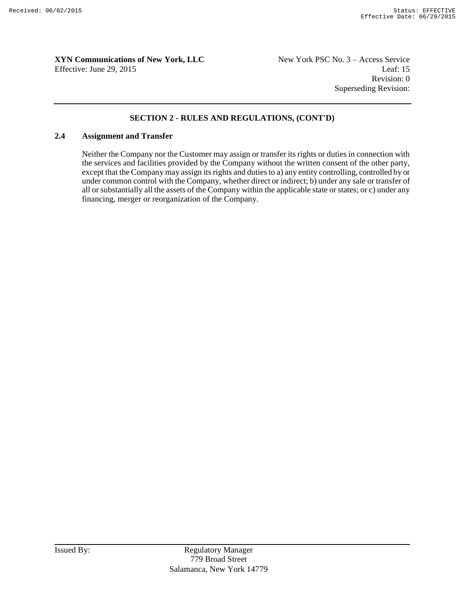Revision: 0 Superseding Revision:

#### **SECTION 2 - RULES AND REGULATIONS, (CONT'D)**

#### **2.4 Assignment and Transfer**

Neither the Company nor the Customer may assign or transfer its rights or duties in connection with the services and facilities provided by the Company without the written consent of the other party, except that the Company may assign its rights and duties to a) any entity controlling, controlled by or under common control with the Company, whether direct or indirect; b) under any sale or transfer of all or substantially all the assets of the Company within the applicable state or states; or c) under any financing, merger or reorganization of the Company.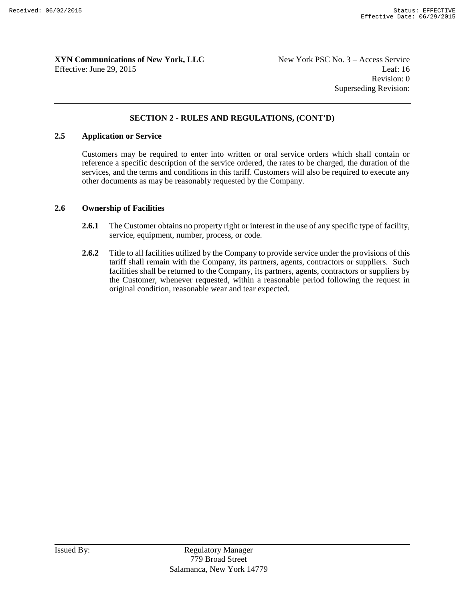Revision: 0 Superseding Revision:

#### **SECTION 2 - RULES AND REGULATIONS, (CONT'D)**

#### **2.5 Application or Service**

Customers may be required to enter into written or oral service orders which shall contain or reference a specific description of the service ordered, the rates to be charged, the duration of the services, and the terms and conditions in this tariff. Customers will also be required to execute any other documents as may be reasonably requested by the Company.

#### **2.6 Ownership of Facilities**

- **2.6.1** The Customer obtains no property right or interest in the use of any specific type of facility, service, equipment, number, process, or code.
- **2.6.2** Title to all facilities utilized by the Company to provide service under the provisions of this tariff shall remain with the Company, its partners, agents, contractors or suppliers. Such facilities shall be returned to the Company, its partners, agents, contractors or suppliers by the Customer, whenever requested, within a reasonable period following the request in original condition, reasonable wear and tear expected.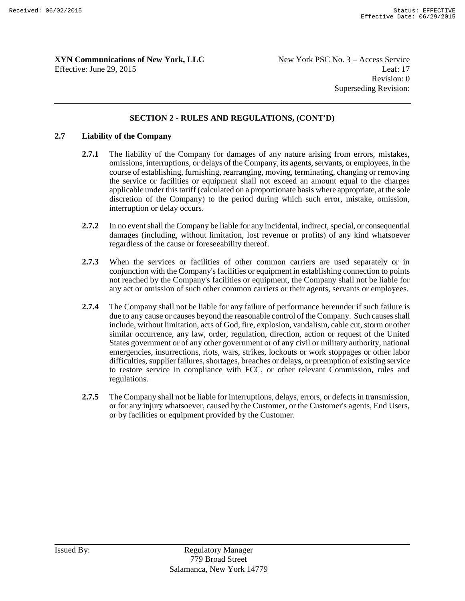Revision: 0 Superseding Revision:

#### **SECTION 2 - RULES AND REGULATIONS, (CONT'D)**

#### **2.7 Liability of the Company**

- **2.7.1** The liability of the Company for damages of any nature arising from errors, mistakes, omissions, interruptions, or delays of the Company, its agents, servants, or employees, in the course of establishing, furnishing, rearranging, moving, terminating, changing or removing the service or facilities or equipment shall not exceed an amount equal to the charges applicable under this tariff (calculated on a proportionate basis where appropriate, at the sole discretion of the Company) to the period during which such error, mistake, omission, interruption or delay occurs.
- **2.7.2** In no event shall the Company be liable for any incidental, indirect, special, or consequential damages (including, without limitation, lost revenue or profits) of any kind whatsoever regardless of the cause or foreseeability thereof.
- **2.7.3** When the services or facilities of other common carriers are used separately or in conjunction with the Company's facilities or equipment in establishing connection to points not reached by the Company's facilities or equipment, the Company shall not be liable for any act or omission of such other common carriers or their agents, servants or employees.
- **2.7.4** The Company shall not be liable for any failure of performance hereunder if such failure is due to any cause or causes beyond the reasonable control of the Company. Such causes shall include, without limitation, acts of God, fire, explosion, vandalism, cable cut, storm or other similar occurrence, any law, order, regulation, direction, action or request of the United States government or of any other government or of any civil or military authority, national emergencies, insurrections, riots, wars, strikes, lockouts or work stoppages or other labor difficulties, supplier failures, shortages, breaches or delays, or preemption of existing service to restore service in compliance with FCC, or other relevant Commission, rules and regulations.
- **2.7.5** The Company shall not be liable for interruptions, delays, errors, or defects in transmission, or for any injury whatsoever, caused by the Customer, or the Customer's agents, End Users, or by facilities or equipment provided by the Customer.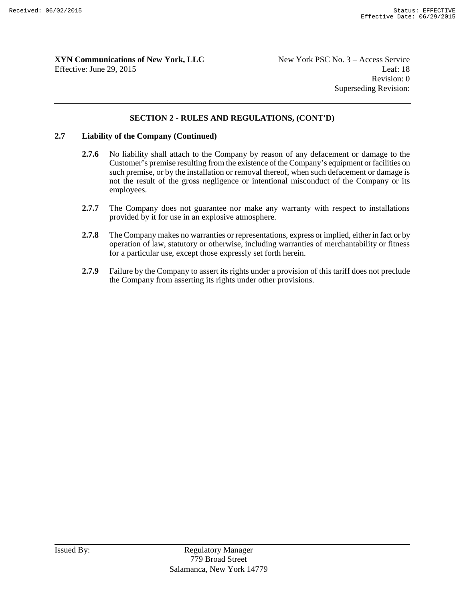Revision: 0 Superseding Revision:

#### **SECTION 2 - RULES AND REGULATIONS, (CONT'D)**

#### **2.7 Liability of the Company (Continued)**

- 2.7.6 No liability shall attach to the Company by reason of any defacement or damage to the Customer's premise resulting from the existence of the Company's equipment or facilities on such premise, or by the installation or removal thereof, when such defacement or damage is not the result of the gross negligence or intentional misconduct of the Company or its employees.
- 2.7.7 The Company does not guarantee nor make any warranty with respect to installations provided by it for use in an explosive atmosphere.
- **2.7.8** The Company makes no warranties or representations, express or implied, either in fact or by operation of law, statutory or otherwise, including warranties of merchantability or fitness for a particular use, except those expressly set forth herein.
- **2.7.9** Failure by the Company to assert its rights under a provision of this tariff does not preclude the Company from asserting its rights under other provisions.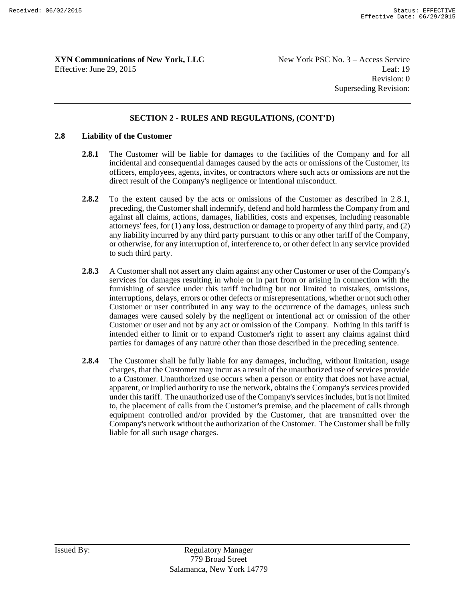Revision: 0 Superseding Revision:

#### **SECTION 2 - RULES AND REGULATIONS, (CONT'D)**

#### **2.8 Liability of the Customer**

- **2.8.1** The Customer will be liable for damages to the facilities of the Company and for all incidental and consequential damages caused by the acts or omissions of the Customer, its officers, employees, agents, invites, or contractors where such acts or omissions are not the direct result of the Company's negligence or intentional misconduct.
- **2.8.2** To the extent caused by the acts or omissions of the Customer as described in 2.8.1, preceding, the Customer shall indemnify, defend and hold harmless the Company from and against all claims, actions, damages, liabilities, costs and expenses, including reasonable attorneys' fees, for (1) any loss, destruction or damage to property of any third party, and (2) any liability incurred by any third party pursuant to this or any other tariff of the Company, or otherwise, for any interruption of, interference to, or other defect in any service provided to such third party.
- **2.8.3** A Customer shall not assert any claim against any other Customer or user of the Company's services for damages resulting in whole or in part from or arising in connection with the furnishing of service under this tariff including but not limited to mistakes, omissions, interruptions, delays, errors or other defects or misrepresentations, whether or not such other Customer or user contributed in any way to the occurrence of the damages, unless such damages were caused solely by the negligent or intentional act or omission of the other Customer or user and not by any act or omission of the Company. Nothing in this tariff is intended either to limit or to expand Customer's right to assert any claims against third parties for damages of any nature other than those described in the preceding sentence.
- **2.8.4** The Customer shall be fully liable for any damages, including, without limitation, usage charges, that the Customer may incur as a result of the unauthorized use of services provide to a Customer. Unauthorized use occurs when a person or entity that does not have actual, apparent, or implied authority to use the network, obtains the Company's services provided under this tariff. The unauthorized use of the Company's services includes, but is not limited to, the placement of calls from the Customer's premise, and the placement of calls through equipment controlled and/or provided by the Customer, that are transmitted over the Company's network without the authorization of the Customer. The Customer shall be fully liable for all such usage charges.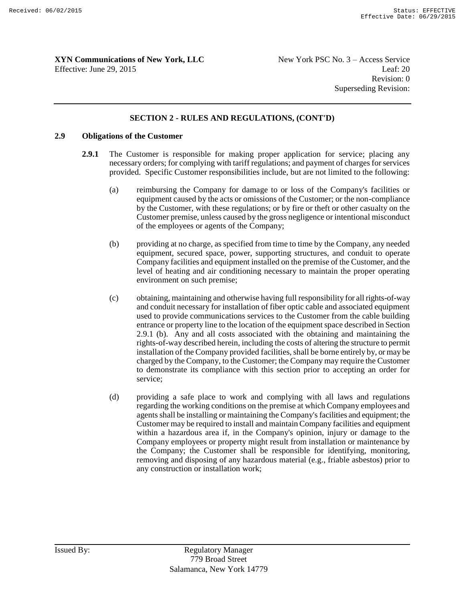Revision: 0 Superseding Revision:

#### **SECTION 2 - RULES AND REGULATIONS, (CONT'D)**

#### **2.9 Obligations of the Customer**

- **2.9.1** The Customer is responsible for making proper application for service; placing any necessary orders; for complying with tariff regulations; and payment of charges for services provided. Specific Customer responsibilities include, but are not limited to the following:
	- (a) reimbursing the Company for damage to or loss of the Company's facilities or equipment caused by the acts or omissions of the Customer; or the non-compliance by the Customer, with these regulations; or by fire or theft or other casualty on the Customer premise, unless caused by the gross negligence or intentional misconduct of the employees or agents of the Company;
	- (b) providing at no charge, as specified from time to time by the Company, any needed equipment, secured space, power, supporting structures, and conduit to operate Company facilities and equipment installed on the premise of the Customer, and the level of heating and air conditioning necessary to maintain the proper operating environment on such premise;
	- (c) obtaining, maintaining and otherwise having full responsibility for all rights-of-way and conduit necessary for installation of fiber optic cable and associated equipment used to provide communications services to the Customer from the cable building entrance or property line to the location of the equipment space described in Section 2.9.1 (b). Any and all costs associated with the obtaining and maintaining the rights-of-way described herein, including the costs of altering the structure to permit installation of the Company provided facilities, shall be borne entirely by, or may be charged by the Company, to the Customer; the Company may require the Customer to demonstrate its compliance with this section prior to accepting an order for service;
	- (d) providing a safe place to work and complying with all laws and regulations regarding the working conditions on the premise at which Company employees and agents shall be installing or maintaining the Company's facilities and equipment; the Customer may be required to install and maintain Company facilities and equipment within a hazardous area if, in the Company's opinion, injury or damage to the Company employees or property might result from installation or maintenance by the Company; the Customer shall be responsible for identifying, monitoring, removing and disposing of any hazardous material (e.g., friable asbestos) prior to any construction or installation work;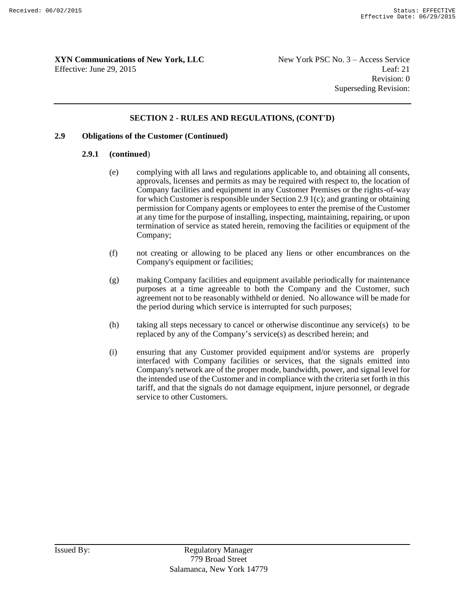Revision: 0 Superseding Revision:

#### **SECTION 2 - RULES AND REGULATIONS, (CONT'D)**

#### **2.9 Obligations of the Customer (Continued)**

#### **2.9.1 (continued**)

- (e) complying with all laws and regulations applicable to, and obtaining all consents, approvals, licenses and permits as may be required with respect to, the location of Company facilities and equipment in any Customer Premises or the rights-of-way for which Customer is responsible under Section 2.9 1(c); and granting or obtaining permission for Company agents or employees to enter the premise of the Customer at any time for the purpose of installing, inspecting, maintaining, repairing, or upon termination of service as stated herein, removing the facilities or equipment of the Company;
- (f) not creating or allowing to be placed any liens or other encumbrances on the Company's equipment or facilities;
- (g) making Company facilities and equipment available periodically for maintenance purposes at a time agreeable to both the Company and the Customer, such agreement not to be reasonably withheld or denied. No allowance will be made for the period during which service is interrupted for such purposes;
- (h) taking all steps necessary to cancel or otherwise discontinue any service(s) to be replaced by any of the Company's service(s) as described herein; and
- (i) ensuring that any Customer provided equipment and/or systems are properly interfaced with Company facilities or services, that the signals emitted into Company's network are of the proper mode, bandwidth, power, and signal level for the intended use of the Customer and in compliance with the criteria set forth in this tariff, and that the signals do not damage equipment, injure personnel, or degrade service to other Customers.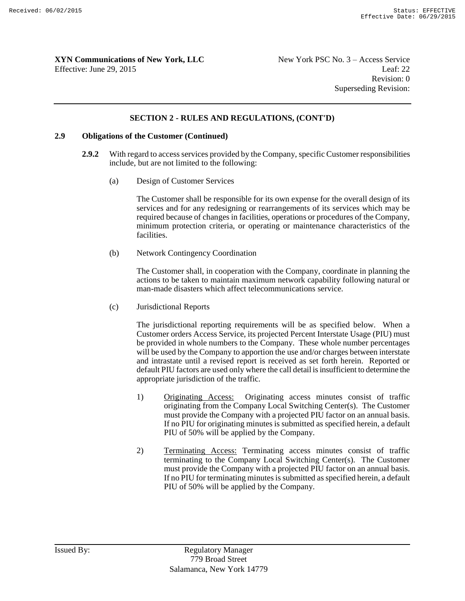#### **SECTION 2 - RULES AND REGULATIONS, (CONT'D)**

#### **2.9 Obligations of the Customer (Continued)**

- **2.9.2** With regard to access services provided by the Company, specific Customer responsibilities include, but are not limited to the following:
	- (a) Design of Customer Services

The Customer shall be responsible for its own expense for the overall design of its services and for any redesigning or rearrangements of its services which may be required because of changes in facilities, operations or procedures of the Company, minimum protection criteria, or operating or maintenance characteristics of the facilities.

(b) Network Contingency Coordination

The Customer shall, in cooperation with the Company, coordinate in planning the actions to be taken to maintain maximum network capability following natural or man-made disasters which affect telecommunications service.

(c) Jurisdictional Reports

The jurisdictional reporting requirements will be as specified below. When a Customer orders Access Service, its projected Percent Interstate Usage (PIU) must be provided in whole numbers to the Company. These whole number percentages will be used by the Company to apportion the use and/or charges between interstate and intrastate until a revised report is received as set forth herein. Reported or default PIU factors are used only where the call detail is insufficient to determine the appropriate jurisdiction of the traffic.

- 1) Originating Access: Originating access minutes consist of traffic originating from the Company Local Switching Center(s). The Customer must provide the Company with a projected PIU factor on an annual basis. If no PIU for originating minutes is submitted as specified herein, a default PIU of 50% will be applied by the Company.
- 2) Terminating Access: Terminating access minutes consist of traffic terminating to the Company Local Switching Center(s). The Customer must provide the Company with a projected PIU factor on an annual basis. If no PIU for terminating minutes is submitted as specified herein, a default PIU of 50% will be applied by the Company.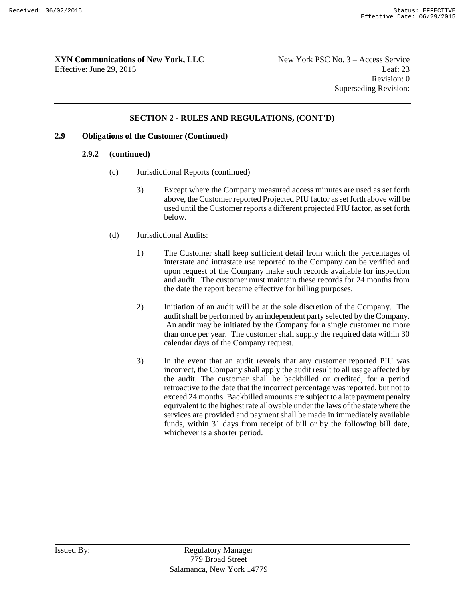#### **SECTION 2 - RULES AND REGULATIONS, (CONT'D)**

#### **2.9 Obligations of the Customer (Continued)**

#### **2.9.2 (continued)**

- (c) Jurisdictional Reports (continued)
	- 3) Except where the Company measured access minutes are used as set forth above, the Customer reported Projected PIU factor as set forth above will be used until the Customer reports a different projected PIU factor, as set forth below.
- (d) Jurisdictional Audits:
	- 1) The Customer shall keep sufficient detail from which the percentages of interstate and intrastate use reported to the Company can be verified and upon request of the Company make such records available for inspection and audit. The customer must maintain these records for 24 months from the date the report became effective for billing purposes.
	- 2) Initiation of an audit will be at the sole discretion of the Company. The audit shall be performed by an independent party selected by the Company. An audit may be initiated by the Company for a single customer no more than once per year. The customer shall supply the required data within 30 calendar days of the Company request.
	- 3) In the event that an audit reveals that any customer reported PIU was incorrect, the Company shall apply the audit result to all usage affected by the audit. The customer shall be backbilled or credited, for a period retroactive to the date that the incorrect percentage was reported, but not to exceed 24 months. Backbilled amounts are subject to a late payment penalty equivalent to the highest rate allowable under the laws of the state where the services are provided and payment shall be made in immediately available funds, within 31 days from receipt of bill or by the following bill date, whichever is a shorter period.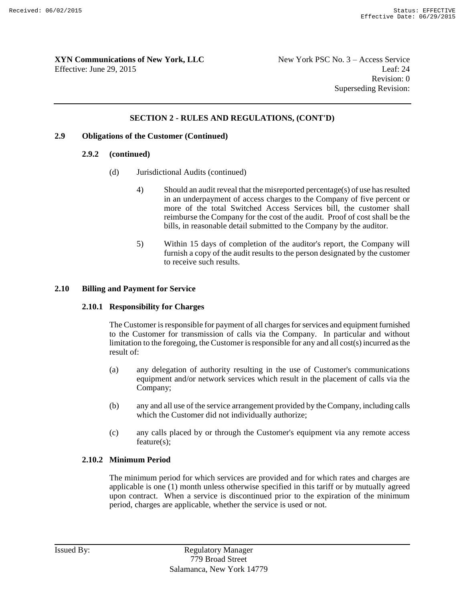#### **SECTION 2 - RULES AND REGULATIONS, (CONT'D)**

#### **2.9 Obligations of the Customer (Continued)**

#### **2.9.2 (continued)**

- (d) Jurisdictional Audits (continued)
	- 4) Should an audit reveal that the misreported percentage(s) of use has resulted in an underpayment of access charges to the Company of five percent or more of the total Switched Access Services bill, the customer shall reimburse the Company for the cost of the audit. Proof of cost shall be the bills, in reasonable detail submitted to the Company by the auditor.
	- 5) Within 15 days of completion of the auditor's report, the Company will furnish a copy of the audit results to the person designated by the customer to receive such results.

#### **2.10 Billing and Payment for Service**

#### **2.10.1 Responsibility for Charges**

The Customer is responsible for payment of all charges for services and equipment furnished to the Customer for transmission of calls via the Company. In particular and without limitation to the foregoing, the Customer is responsible for any and all cost(s) incurred as the result of:

- (a) any delegation of authority resulting in the use of Customer's communications equipment and/or network services which result in the placement of calls via the Company;
- (b) any and all use of the service arrangement provided by the Company, including calls which the Customer did not individually authorize;
- (c) any calls placed by or through the Customer's equipment via any remote access feature(s);

#### **2.10.2 Minimum Period**

The minimum period for which services are provided and for which rates and charges are applicable is one (1) month unless otherwise specified in this tariff or by mutually agreed upon contract. When a service is discontinued prior to the expiration of the minimum period, charges are applicable, whether the service is used or not.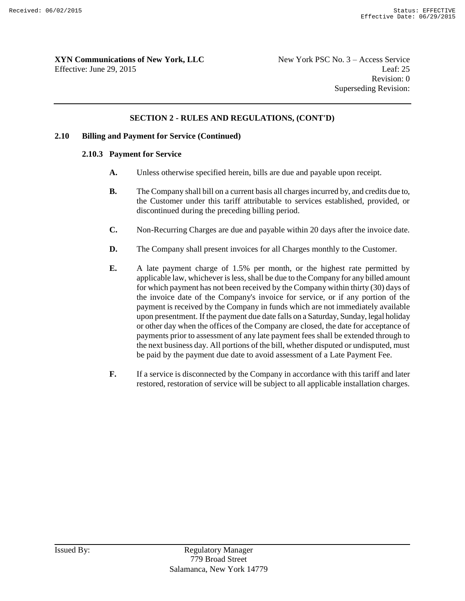#### **SECTION 2 - RULES AND REGULATIONS, (CONT'D)**

#### **2.10 Billing and Payment for Service (Continued)**

#### **2.10.3 Payment for Service**

- **A.** Unless otherwise specified herein, bills are due and payable upon receipt.
- **B.** The Company shall bill on a current basis all charges incurred by, and credits due to, the Customer under this tariff attributable to services established, provided, or discontinued during the preceding billing period.
- **C.** Non-Recurring Charges are due and payable within 20 days after the invoice date.
- **D.** The Company shall present invoices for all Charges monthly to the Customer.
- **E.** A late payment charge of 1.5% per month, or the highest rate permitted by applicable law, whichever is less, shall be due to the Company for any billed amount for which payment has not been received by the Company within thirty (30) days of the invoice date of the Company's invoice for service, or if any portion of the payment is received by the Company in funds which are not immediately available upon presentment. If the payment due date falls on a Saturday, Sunday, legal holiday or other day when the offices of the Company are closed, the date for acceptance of payments prior to assessment of any late payment fees shall be extended through to the next business day. All portions of the bill, whether disputed or undisputed, must be paid by the payment due date to avoid assessment of a Late Payment Fee.
- **F.** If a service is disconnected by the Company in accordance with this tariff and later restored, restoration of service will be subject to all applicable installation charges.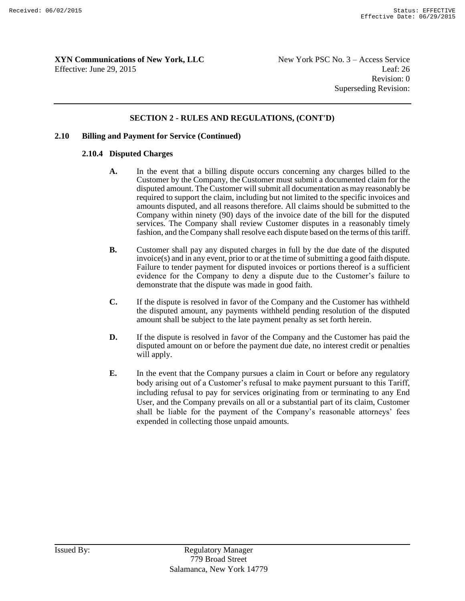#### **SECTION 2 - RULES AND REGULATIONS, (CONT'D)**

#### **2.10 Billing and Payment for Service (Continued)**

#### **2.10.4 Disputed Charges**

- **A.** In the event that a billing dispute occurs concerning any charges billed to the Customer by the Company, the Customer must submit a documented claim for the disputed amount. The Customer will submit all documentation as may reasonably be required to support the claim, including but not limited to the specific invoices and amounts disputed, and all reasons therefore. All claims should be submitted to the Company within ninety (90) days of the invoice date of the bill for the disputed services. The Company shall review Customer disputes in a reasonably timely fashion, and the Company shall resolve each dispute based on the terms of this tariff.
- **B.** Customer shall pay any disputed charges in full by the due date of the disputed invoice(s) and in any event, prior to or at the time of submitting a good faith dispute. Failure to tender payment for disputed invoices or portions thereof is a sufficient evidence for the Company to deny a dispute due to the Customer's failure to demonstrate that the dispute was made in good faith.
- **C.** If the dispute is resolved in favor of the Company and the Customer has withheld the disputed amount, any payments withheld pending resolution of the disputed amount shall be subject to the late payment penalty as set forth herein.
- **D.** If the dispute is resolved in favor of the Company and the Customer has paid the disputed amount on or before the payment due date, no interest credit or penalties will apply.
- **E.** In the event that the Company pursues a claim in Court or before any regulatory body arising out of a Customer's refusal to make payment pursuant to this Tariff, including refusal to pay for services originating from or terminating to any End User, and the Company prevails on all or a substantial part of its claim, Customer shall be liable for the payment of the Company's reasonable attorneys' fees expended in collecting those unpaid amounts.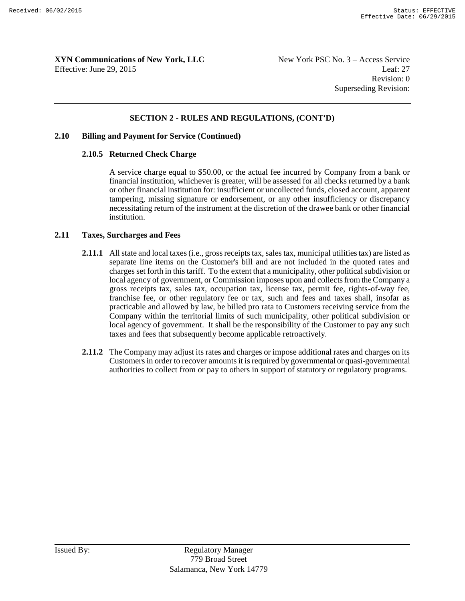#### **SECTION 2 - RULES AND REGULATIONS, (CONT'D)**

#### **2.10 Billing and Payment for Service (Continued)**

#### **2.10.5 Returned Check Charge**

A service charge equal to \$50.00, or the actual fee incurred by Company from a bank or financial institution, whichever is greater, will be assessed for all checks returned by a bank or other financial institution for: insufficient or uncollected funds, closed account, apparent tampering, missing signature or endorsement, or any other insufficiency or discrepancy necessitating return of the instrument at the discretion of the drawee bank or other financial institution.

#### **2.11 Taxes, Surcharges and Fees**

- **2.11.1** All state and local taxes (i.e., gross receipts tax, sales tax, municipal utilities tax) are listed as separate line items on the Customer's bill and are not included in the quoted rates and charges set forth in this tariff. To the extent that a municipality, other political subdivision or local agency of government, or Commission imposes upon and collects from the Company a gross receipts tax, sales tax, occupation tax, license tax, permit fee, rights-of-way fee, franchise fee, or other regulatory fee or tax, such and fees and taxes shall, insofar as practicable and allowed by law, be billed pro rata to Customers receiving service from the Company within the territorial limits of such municipality, other political subdivision or local agency of government. It shall be the responsibility of the Customer to pay any such taxes and fees that subsequently become applicable retroactively.
- **2.11.2** The Company may adjust its rates and charges or impose additional rates and charges on its Customers in order to recover amounts it is required by governmental or quasi-governmental authorities to collect from or pay to others in support of statutory or regulatory programs.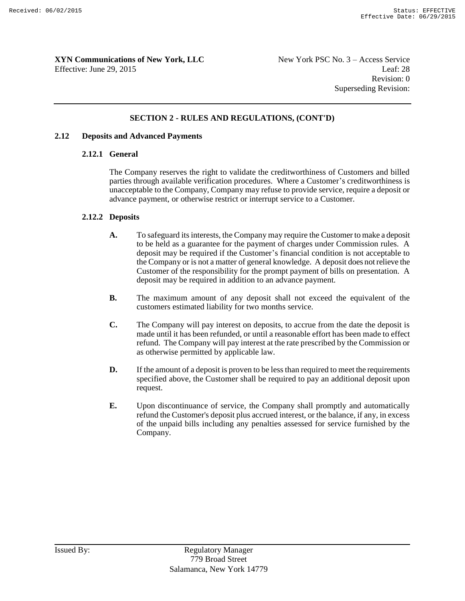Revision: 0 Superseding Revision:

#### **SECTION 2 - RULES AND REGULATIONS, (CONT'D)**

#### **2.12 Deposits and Advanced Payments**

#### **2.12.1 General**

The Company reserves the right to validate the creditworthiness of Customers and billed parties through available verification procedures. Where a Customer's creditworthiness is unacceptable to the Company, Company may refuse to provide service, require a deposit or advance payment, or otherwise restrict or interrupt service to a Customer.

#### **2.12.2 Deposits**

- **A.** To safeguard its interests, the Company may require the Customer to make a deposit to be held as a guarantee for the payment of charges under Commission rules. A deposit may be required if the Customer's financial condition is not acceptable to the Company or is not a matter of general knowledge. A deposit does not relieve the Customer of the responsibility for the prompt payment of bills on presentation. A deposit may be required in addition to an advance payment.
- **B.** The maximum amount of any deposit shall not exceed the equivalent of the customers estimated liability for two months service.
- **C.** The Company will pay interest on deposits, to accrue from the date the deposit is made until it has been refunded, or until a reasonable effort has been made to effect refund. The Company will pay interest at the rate prescribed by the Commission or as otherwise permitted by applicable law.
- **D.** If the amount of a deposit is proven to be less than required to meet the requirements specified above, the Customer shall be required to pay an additional deposit upon request.
- **E.** Upon discontinuance of service, the Company shall promptly and automatically refund the Customer's deposit plus accrued interest, or the balance, if any, in excess of the unpaid bills including any penalties assessed for service furnished by the Company.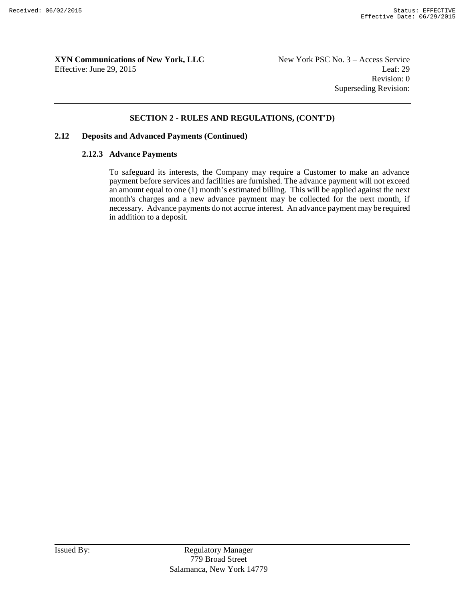Revision: 0 Superseding Revision:

#### **SECTION 2 - RULES AND REGULATIONS, (CONT'D)**

#### **2.12 Deposits and Advanced Payments (Continued)**

#### **2.12.3 Advance Payments**

To safeguard its interests, the Company may require a Customer to make an advance payment before services and facilities are furnished. The advance payment will not exceed an amount equal to one (1) month's estimated billing. This will be applied against the next month's charges and a new advance payment may be collected for the next month, if necessary. Advance payments do not accrue interest. An advance payment may be required in addition to a deposit.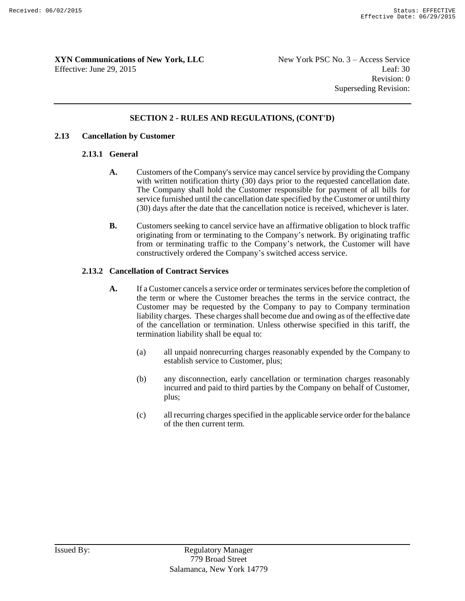Revision: 0 Superseding Revision:

#### **SECTION 2 - RULES AND REGULATIONS, (CONT'D)**

#### **2.13 Cancellation by Customer**

#### **2.13.1 General**

- **A.** Customers of the Company's service may cancel service by providing the Company with written notification thirty (30) days prior to the requested cancellation date. The Company shall hold the Customer responsible for payment of all bills for service furnished until the cancellation date specified by the Customer or until thirty (30) days after the date that the cancellation notice is received, whichever is later.
- **B.** Customers seeking to cancel service have an affirmative obligation to block traffic originating from or terminating to the Company's network. By originating traffic from or terminating traffic to the Company's network, the Customer will have constructively ordered the Company's switched access service.

#### **2.13.2 Cancellation of Contract Services**

- **A.** If a Customer cancels a service order or terminates services before the completion of the term or where the Customer breaches the terms in the service contract, the Customer may be requested by the Company to pay to Company termination liability charges. These charges shall become due and owing as of the effective date of the cancellation or termination. Unless otherwise specified in this tariff, the termination liability shall be equal to:
	- (a) all unpaid nonrecurring charges reasonably expended by the Company to establish service to Customer, plus;
	- (b) any disconnection, early cancellation or termination charges reasonably incurred and paid to third parties by the Company on behalf of Customer, plus;
	- (c) all recurring charges specified in the applicable service order for the balance of the then current term.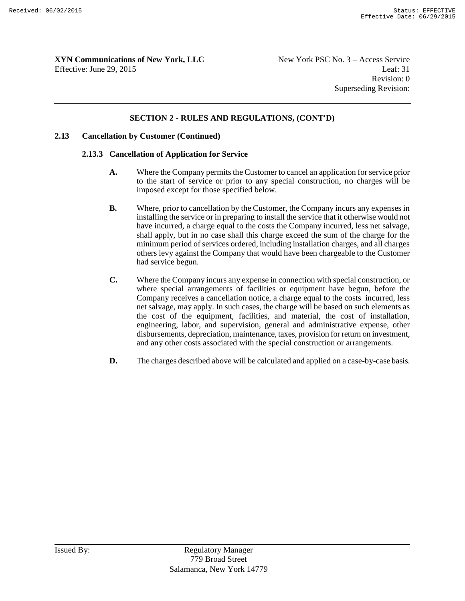#### **SECTION 2 - RULES AND REGULATIONS, (CONT'D)**

#### **2.13 Cancellation by Customer (Continued)**

#### **2.13.3 Cancellation of Application for Service**

- **A.** Where the Company permits the Customer to cancel an application for service prior to the start of service or prior to any special construction, no charges will be imposed except for those specified below.
- **B.** Where, prior to cancellation by the Customer, the Company incurs any expenses in installing the service or in preparing to install the service that it otherwise would not have incurred, a charge equal to the costs the Company incurred, less net salvage, shall apply, but in no case shall this charge exceed the sum of the charge for the minimum period of services ordered, including installation charges, and all charges others levy against the Company that would have been chargeable to the Customer had service begun.
- **C.** Where the Company incurs any expense in connection with special construction, or where special arrangements of facilities or equipment have begun, before the Company receives a cancellation notice, a charge equal to the costs incurred, less net salvage, may apply. In such cases, the charge will be based on such elements as the cost of the equipment, facilities, and material, the cost of installation, engineering, labor, and supervision, general and administrative expense, other disbursements, depreciation, maintenance, taxes, provision for return on investment, and any other costs associated with the special construction or arrangements.
- **D.** The charges described above will be calculated and applied on a case-by-case basis.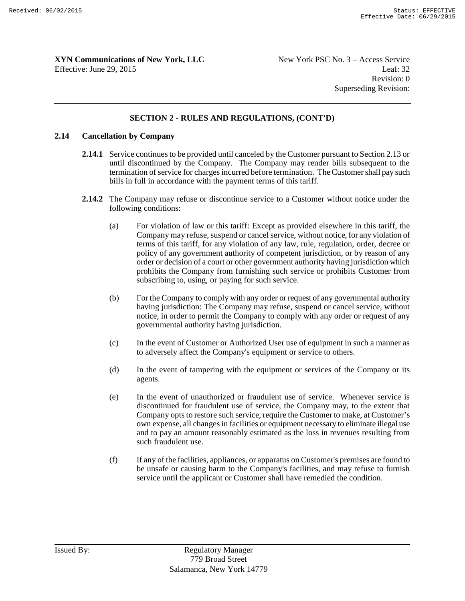#### **SECTION 2 - RULES AND REGULATIONS, (CONT'D)**

#### **2.14 Cancellation by Company**

- **2.14.1** Service continues to be provided until canceled by the Customer pursuant to Section 2.13 or until discontinued by the Company. The Company may render bills subsequent to the termination of service for charges incurred before termination. The Customer shall pay such bills in full in accordance with the payment terms of this tariff.
- **2.14.2** The Company may refuse or discontinue service to a Customer without notice under the following conditions:
	- (a) For violation of law or this tariff: Except as provided elsewhere in this tariff, the Company may refuse, suspend or cancel service, without notice, for any violation of terms of this tariff, for any violation of any law, rule, regulation, order, decree or policy of any government authority of competent jurisdiction, or by reason of any order or decision of a court or other government authority having jurisdiction which prohibits the Company from furnishing such service or prohibits Customer from subscribing to, using, or paying for such service.
	- (b) For the Company to comply with any order or request of any governmental authority having jurisdiction: The Company may refuse, suspend or cancel service, without notice, in order to permit the Company to comply with any order or request of any governmental authority having jurisdiction.
	- (c) In the event of Customer or Authorized User use of equipment in such a manner as to adversely affect the Company's equipment or service to others.
	- (d) In the event of tampering with the equipment or services of the Company or its agents.
	- (e) In the event of unauthorized or fraudulent use of service. Whenever service is discontinued for fraudulent use of service, the Company may, to the extent that Company opts to restore such service, require the Customer to make, at Customer's own expense, all changes in facilities or equipment necessary to eliminate illegal use and to pay an amount reasonably estimated as the loss in revenues resulting from such fraudulent use.
	- (f) If any of the facilities, appliances, or apparatus on Customer's premises are found to be unsafe or causing harm to the Company's facilities, and may refuse to furnish service until the applicant or Customer shall have remedied the condition.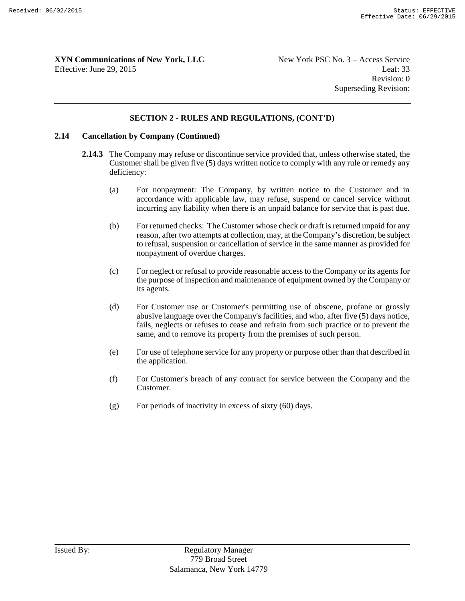#### **SECTION 2 - RULES AND REGULATIONS, (CONT'D)**

#### **2.14 Cancellation by Company (Continued)**

- **2.14.3** The Company may refuse or discontinue service provided that, unless otherwise stated, the Customer shall be given five (5) days written notice to comply with any rule or remedy any deficiency:
	- (a) For nonpayment: The Company, by written notice to the Customer and in accordance with applicable law, may refuse, suspend or cancel service without incurring any liability when there is an unpaid balance for service that is past due.
	- (b) For returned checks: The Customer whose check or draft is returned unpaid for any reason, after two attempts at collection, may, at the Company's discretion, be subject to refusal, suspension or cancellation of service in the same manner as provided for nonpayment of overdue charges.
	- (c) For neglect or refusal to provide reasonable access to the Company or its agents for the purpose of inspection and maintenance of equipment owned by the Company or its agents.
	- (d) For Customer use or Customer's permitting use of obscene, profane or grossly abusive language over the Company's facilities, and who, after five (5) days notice, fails, neglects or refuses to cease and refrain from such practice or to prevent the same, and to remove its property from the premises of such person.
	- (e) For use of telephone service for any property or purpose other than that described in the application.
	- (f) For Customer's breach of any contract for service between the Company and the Customer.
	- $(g)$  For periods of inactivity in excess of sixty  $(60)$  days.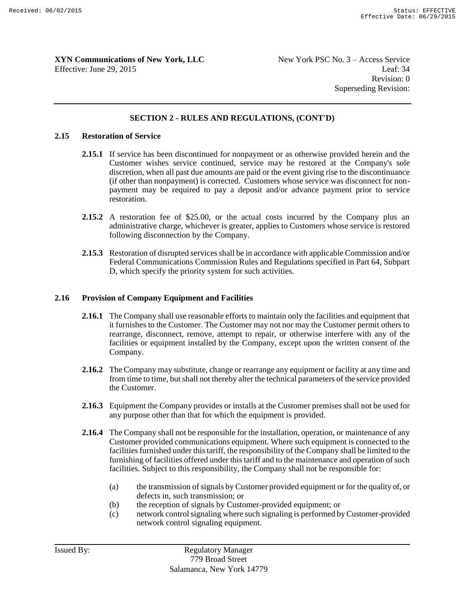#### **SECTION 2 - RULES AND REGULATIONS, (CONT'D)**

#### **2.15 Restoration of Service**

- **2.15.1** If service has been discontinued for nonpayment or as otherwise provided herein and the Customer wishes service continued, service may be restored at the Company's sole discretion, when all past due amounts are paid or the event giving rise to the discontinuance (if other than nonpayment) is corrected. Customers whose service was disconnect for nonpayment may be required to pay a deposit and/or advance payment prior to service restoration.
- **2.15.2** A restoration fee of \$25.00, or the actual costs incurred by the Company plus an administrative charge, whichever is greater, applies to Customers whose service is restored following disconnection by the Company.
- **2.15.3** Restoration of disrupted services shall be in accordance with applicable Commission and/or Federal Communications Commission Rules and Regulations specified in Part 64, Subpart D, which specify the priority system for such activities.

#### **2.16 Provision of Company Equipment and Facilities**

- **2.16.1** The Company shall use reasonable efforts to maintain only the facilities and equipment that it furnishes to the Customer. The Customer may not nor may the Customer permit others to rearrange, disconnect, remove, attempt to repair, or otherwise interfere with any of the facilities or equipment installed by the Company, except upon the written consent of the Company.
- **2.16.2** The Company may substitute, change or rearrange any equipment or facility at any time and from time to time, but shall not thereby alter the technical parameters of the service provided the Customer.
- **2.16.3** Equipment the Company provides or installs at the Customer premises shall not be used for any purpose other than that for which the equipment is provided.
- **2.16.4** The Company shall not be responsible for the installation, operation, or maintenance of any Customer provided communications equipment. Where such equipment is connected to the facilities furnished under this tariff, the responsibility of the Company shall be limited to the furnishing of facilities offered under this tariff and to the maintenance and operation of such facilities. Subject to this responsibility, the Company shall not be responsible for:
	- (a) the transmission of signals by Customer provided equipment or for the quality of, or defects in, such transmission; or
	- (b) the reception of signals by Customer-provided equipment; or
	- (c) network control signaling where such signaling is performed by Customer-provided network control signaling equipment.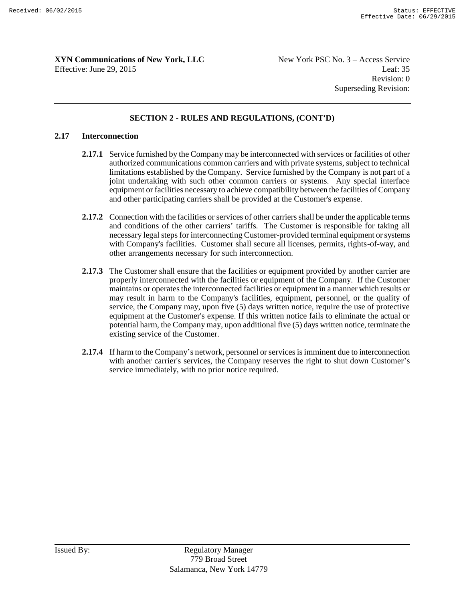Revision: 0 Superseding Revision:

#### **SECTION 2 - RULES AND REGULATIONS, (CONT'D)**

#### **2.17 Interconnection**

- **2.17.1** Service furnished by the Company may be interconnected with services or facilities of other authorized communications common carriers and with private systems, subject to technical limitations established by the Company. Service furnished by the Company is not part of a joint undertaking with such other common carriers or systems. Any special interface equipment or facilities necessary to achieve compatibility between the facilities of Company and other participating carriers shall be provided at the Customer's expense.
- **2.17.2** Connection with the facilities or services of other carriers shall be under the applicable terms and conditions of the other carriers' tariffs. The Customer is responsible for taking all necessary legal steps for interconnecting Customer-provided terminal equipment or systems with Company's facilities. Customer shall secure all licenses, permits, rights-of-way, and other arrangements necessary for such interconnection.
- **2.17.3** The Customer shall ensure that the facilities or equipment provided by another carrier are properly interconnected with the facilities or equipment of the Company. If the Customer maintains or operates the interconnected facilities or equipment in a manner which results or may result in harm to the Company's facilities, equipment, personnel, or the quality of service, the Company may, upon five (5) days written notice, require the use of protective equipment at the Customer's expense. If this written notice fails to eliminate the actual or potential harm, the Company may, upon additional five (5) days written notice, terminate the existing service of the Customer.
- **2.17.4** If harm to the Company's network, personnel or services is imminent due to interconnection with another carrier's services, the Company reserves the right to shut down Customer's service immediately, with no prior notice required.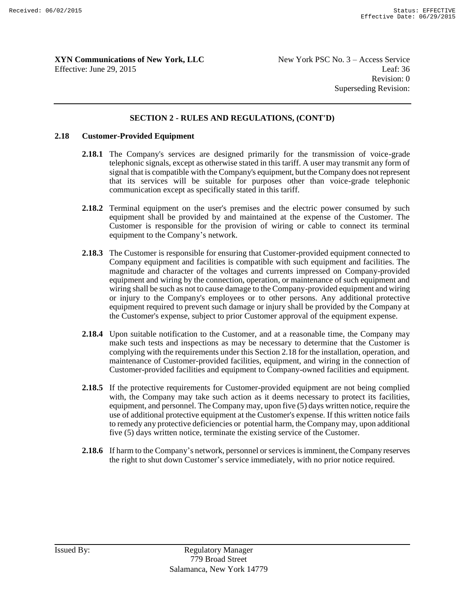#### **SECTION 2 - RULES AND REGULATIONS, (CONT'D)**

#### **2.18 Customer-Provided Equipment**

- **2.18.1** The Company's services are designed primarily for the transmission of voice-grade telephonic signals, except as otherwise stated in this tariff. A user may transmit any form of signal that is compatible with the Company's equipment, but the Company does not represent that its services will be suitable for purposes other than voice-grade telephonic communication except as specifically stated in this tariff.
- **2.18.2** Terminal equipment on the user's premises and the electric power consumed by such equipment shall be provided by and maintained at the expense of the Customer. The Customer is responsible for the provision of wiring or cable to connect its terminal equipment to the Company's network.
- **2.18.3** The Customer is responsible for ensuring that Customer-provided equipment connected to Company equipment and facilities is compatible with such equipment and facilities. The magnitude and character of the voltages and currents impressed on Company-provided equipment and wiring by the connection, operation, or maintenance of such equipment and wiring shall be such as not to cause damage to the Company-provided equipment and wiring or injury to the Company's employees or to other persons. Any additional protective equipment required to prevent such damage or injury shall be provided by the Company at the Customer's expense, subject to prior Customer approval of the equipment expense.
- **2.18.4** Upon suitable notification to the Customer, and at a reasonable time, the Company may make such tests and inspections as may be necessary to determine that the Customer is complying with the requirements under this Section 2.18 for the installation, operation, and maintenance of Customer-provided facilities, equipment, and wiring in the connection of Customer-provided facilities and equipment to Company-owned facilities and equipment.
- 2.18.5 If the protective requirements for Customer-provided equipment are not being complied with, the Company may take such action as it deems necessary to protect its facilities, equipment, and personnel. The Company may, upon five (5) days written notice, require the use of additional protective equipment at the Customer's expense. If this written notice fails to remedy any protective deficiencies or potential harm, the Company may, upon additional five (5) days written notice, terminate the existing service of the Customer.
- **2.18.6** If harm to the Company's network, personnel or services is imminent, the Company reserves the right to shut down Customer's service immediately, with no prior notice required.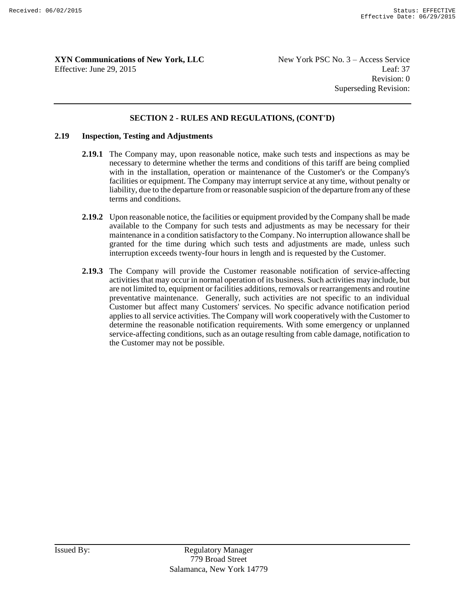Revision: 0 Superseding Revision:

#### **SECTION 2 - RULES AND REGULATIONS, (CONT'D)**

#### **2.19 Inspection, Testing and Adjustments**

- **2.19.1** The Company may, upon reasonable notice, make such tests and inspections as may be necessary to determine whether the terms and conditions of this tariff are being complied with in the installation, operation or maintenance of the Customer's or the Company's facilities or equipment. The Company may interrupt service at any time, without penalty or liability, due to the departure from or reasonable suspicion of the departure from any of these terms and conditions.
- **2.19.2** Upon reasonable notice, the facilities or equipment provided by the Company shall be made available to the Company for such tests and adjustments as may be necessary for their maintenance in a condition satisfactory to the Company. No interruption allowance shall be granted for the time during which such tests and adjustments are made, unless such interruption exceeds twenty-four hours in length and is requested by the Customer.
- **2.19.3** The Company will provide the Customer reasonable notification of service-affecting activities that may occur in normal operation of its business. Such activities may include, but are not limited to, equipment or facilities additions, removals or rearrangements and routine preventative maintenance. Generally, such activities are not specific to an individual Customer but affect many Customers' services. No specific advance notification period applies to all service activities. The Company will work cooperatively with the Customer to determine the reasonable notification requirements. With some emergency or unplanned service-affecting conditions, such as an outage resulting from cable damage, notification to the Customer may not be possible.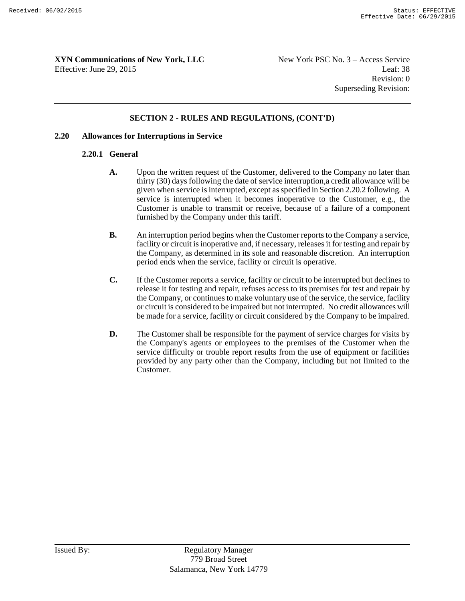Revision: 0 Superseding Revision:

#### **SECTION 2 - RULES AND REGULATIONS, (CONT'D)**

#### **2.20 Allowances for Interruptions in Service**

#### **2.20.1 General**

- **A.** Upon the written request of the Customer, delivered to the Company no later than thirty (30) days following the date of service interruption,a credit allowance will be given when service is interrupted, except as specified in Section 2.20.2 following. A service is interrupted when it becomes inoperative to the Customer, e.g., the Customer is unable to transmit or receive, because of a failure of a component furnished by the Company under this tariff.
- **B.** An interruption period begins when the Customer reports to the Company a service, facility or circuit is inoperative and, if necessary, releases it for testing and repair by the Company, as determined in its sole and reasonable discretion. An interruption period ends when the service, facility or circuit is operative.
- **C.** If the Customer reports a service, facility or circuit to be interrupted but declines to release it for testing and repair, refuses access to its premises for test and repair by the Company, or continues to make voluntary use of the service, the service, facility or circuit is considered to be impaired but not interrupted. No credit allowances will be made for a service, facility or circuit considered by the Company to be impaired.
- **D.** The Customer shall be responsible for the payment of service charges for visits by the Company's agents or employees to the premises of the Customer when the service difficulty or trouble report results from the use of equipment or facilities provided by any party other than the Company, including but not limited to the Customer.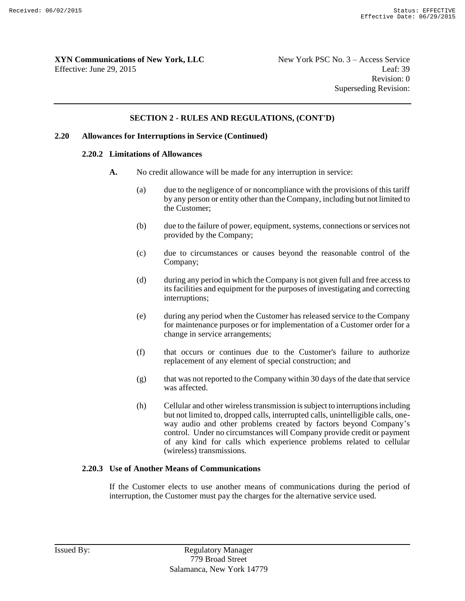#### **SECTION 2 - RULES AND REGULATIONS, (CONT'D)**

#### **2.20 Allowances for Interruptions in Service (Continued)**

#### **2.20.2 Limitations of Allowances**

- **A.** No credit allowance will be made for any interruption in service:
	- (a) due to the negligence of or noncompliance with the provisions of this tariff by any person or entity other than the Company, including but not limited to the Customer;
	- (b) due to the failure of power, equipment, systems, connections or services not provided by the Company;
	- (c) due to circumstances or causes beyond the reasonable control of the Company;
	- (d) during any period in which the Company is not given full and free access to its facilities and equipment for the purposes of investigating and correcting interruptions;
	- (e) during any period when the Customer has released service to the Company for maintenance purposes or for implementation of a Customer order for a change in service arrangements;
	- (f) that occurs or continues due to the Customer's failure to authorize replacement of any element of special construction; and
	- $(g)$  that was not reported to the Company within 30 days of the date that service was affected.
	- (h) Cellular and other wireless transmission is subject to interruptions including but not limited to, dropped calls, interrupted calls, unintelligible calls, oneway audio and other problems created by factors beyond Company's control. Under no circumstances will Company provide credit or payment of any kind for calls which experience problems related to cellular (wireless) transmissions.

#### **2.20.3 Use of Another Means of Communications**

If the Customer elects to use another means of communications during the period of interruption, the Customer must pay the charges for the alternative service used.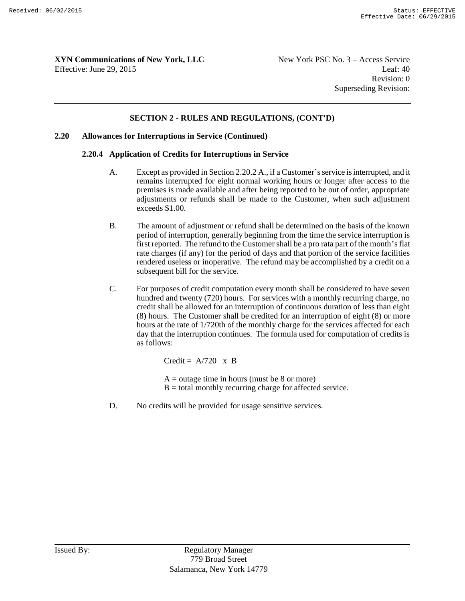#### **SECTION 2 - RULES AND REGULATIONS, (CONT'D)**

#### **2.20 Allowances for Interruptions in Service (Continued)**

#### **2.20.4 Application of Credits for Interruptions in Service**

- A. Except as provided in Section 2.20.2 A., if a Customer's service is interrupted, and it remains interrupted for eight normal working hours or longer after access to the premises is made available and after being reported to be out of order, appropriate adjustments or refunds shall be made to the Customer, when such adjustment exceeds \$1.00.
- B. The amount of adjustment or refund shall be determined on the basis of the known period of interruption, generally beginning from the time the service interruption is first reported. The refund to the Customer shall be a pro rata part of the month's flat rate charges (if any) for the period of days and that portion of the service facilities rendered useless or inoperative. The refund may be accomplished by a credit on a subsequent bill for the service.
- C. For purposes of credit computation every month shall be considered to have seven hundred and twenty (720) hours. For services with a monthly recurring charge, no credit shall be allowed for an interruption of continuous duration of less than eight (8) hours. The Customer shall be credited for an interruption of eight (8) or more hours at the rate of 1/720th of the monthly charge for the services affected for each day that the interruption continues. The formula used for computation of credits is as follows:

Credit =  $A/720 \times B$  $A =$  outage time in hours (must be 8 or more)

- $B =$  total monthly recurring charge for affected service.
- D. No credits will be provided for usage sensitive services.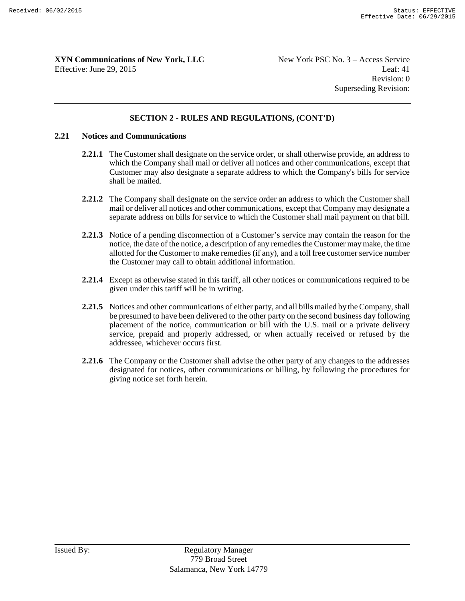#### **SECTION 2 - RULES AND REGULATIONS, (CONT'D)**

#### **2.21 Notices and Communications**

- **2.21.1** The Customer shall designate on the service order, or shall otherwise provide, an address to which the Company shall mail or deliver all notices and other communications, except that Customer may also designate a separate address to which the Company's bills for service shall be mailed.
- **2.21.2** The Company shall designate on the service order an address to which the Customer shall mail or deliver all notices and other communications, except that Company may designate a separate address on bills for service to which the Customer shall mail payment on that bill.
- **2.21.3** Notice of a pending disconnection of a Customer's service may contain the reason for the notice, the date of the notice, a description of any remedies the Customer may make, the time allotted for the Customer to make remedies (if any), and a toll free customer service number the Customer may call to obtain additional information.
- **2.21.4** Except as otherwise stated in this tariff, all other notices or communications required to be given under this tariff will be in writing.
- **2.21.5** Notices and other communications of either party, and all bills mailed by the Company, shall be presumed to have been delivered to the other party on the second business day following placement of the notice, communication or bill with the U.S. mail or a private delivery service, prepaid and properly addressed, or when actually received or refused by the addressee, whichever occurs first.
- **2.21.6** The Company or the Customer shall advise the other party of any changes to the addresses designated for notices, other communications or billing, by following the procedures for giving notice set forth herein.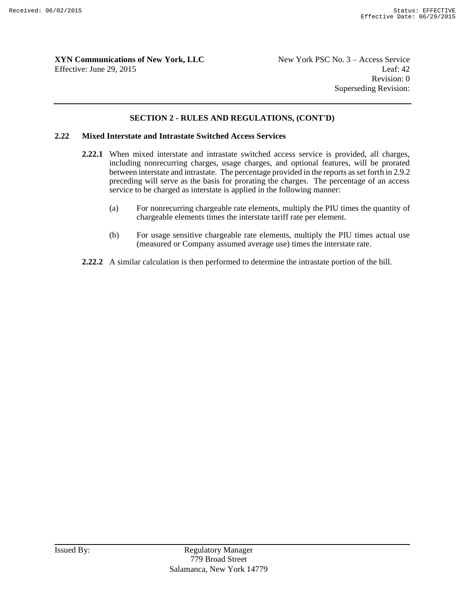Revision: 0 Superseding Revision:

#### **SECTION 2 - RULES AND REGULATIONS, (CONT'D)**

#### **2.22 Mixed Interstate and Intrastate Switched Access Services**

- **2.22.1** When mixed interstate and intrastate switched access service is provided, all charges, including nonrecurring charges, usage charges, and optional features, will be prorated between interstate and intrastate. The percentage provided in the reports as set forth in 2.9.2 preceding will serve as the basis for prorating the charges. The percentage of an access service to be charged as interstate is applied in the following manner:
	- (a) For nonrecurring chargeable rate elements, multiply the PIU times the quantity of chargeable elements times the interstate tariff rate per element.
	- (b) For usage sensitive chargeable rate elements, multiply the PIU times actual use (measured or Company assumed average use) times the interstate rate.
- **2.22.2** A similar calculation is then performed to determine the intrastate portion of the bill.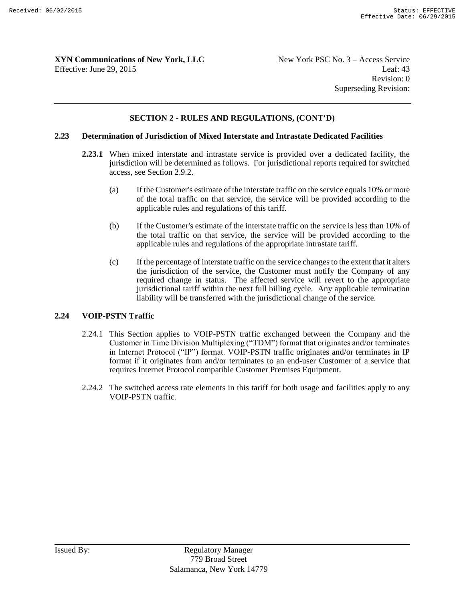Revision: 0 Superseding Revision:

#### **SECTION 2 - RULES AND REGULATIONS, (CONT'D)**

#### **2.23 Determination of Jurisdiction of Mixed Interstate and Intrastate Dedicated Facilities**

- **2.23.1** When mixed interstate and intrastate service is provided over a dedicated facility, the jurisdiction will be determined as follows. For jurisdictional reports required for switched access, see Section 2.9.2.
	- (a) If the Customer's estimate of the interstate traffic on the service equals 10% or more of the total traffic on that service, the service will be provided according to the applicable rules and regulations of this tariff.
	- (b) If the Customer's estimate of the interstate traffic on the service is less than 10% of the total traffic on that service, the service will be provided according to the applicable rules and regulations of the appropriate intrastate tariff.
	- (c) If the percentage of interstate traffic on the service changes to the extent that it alters the jurisdiction of the service, the Customer must notify the Company of any required change in status. The affected service will revert to the appropriate jurisdictional tariff within the next full billing cycle. Any applicable termination liability will be transferred with the jurisdictional change of the service.

#### **2.24 VOIP-PSTN Traffic**

- 2.24.1 This Section applies to VOIP-PSTN traffic exchanged between the Company and the Customer in Time Division Multiplexing ("TDM") format that originates and/or terminates in Internet Protocol ("IP") format. VOIP-PSTN traffic originates and/or terminates in IP format if it originates from and/or terminates to an end-user Customer of a service that requires Internet Protocol compatible Customer Premises Equipment.
- 2.24.2 The switched access rate elements in this tariff for both usage and facilities apply to any VOIP-PSTN traffic.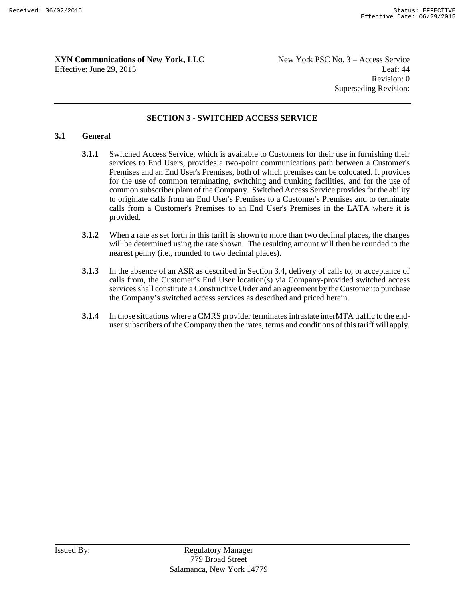Revision: 0 Superseding Revision:

#### **SECTION 3 - SWITCHED ACCESS SERVICE**

#### **3.1 General**

- **3.1.1** Switched Access Service, which is available to Customers for their use in furnishing their services to End Users, provides a two-point communications path between a Customer's Premises and an End User's Premises, both of which premises can be colocated. It provides for the use of common terminating, switching and trunking facilities, and for the use of common subscriber plant of the Company. Switched Access Service provides for the ability to originate calls from an End User's Premises to a Customer's Premises and to terminate calls from a Customer's Premises to an End User's Premises in the LATA where it is provided.
- **3.1.2** When a rate as set forth in this tariff is shown to more than two decimal places, the charges will be determined using the rate shown. The resulting amount will then be rounded to the nearest penny (i.e., rounded to two decimal places).
- **3.1.3** In the absence of an ASR as described in Section 3.4, delivery of calls to, or acceptance of calls from, the Customer's End User location(s) via Company-provided switched access services shall constitute a Constructive Order and an agreement by the Customer to purchase the Company's switched access services as described and priced herein.
- **3.1.4** In those situations where a CMRS provider terminates intrastate interMTA traffic to the enduser subscribers of the Company then the rates, terms and conditions of this tariff will apply.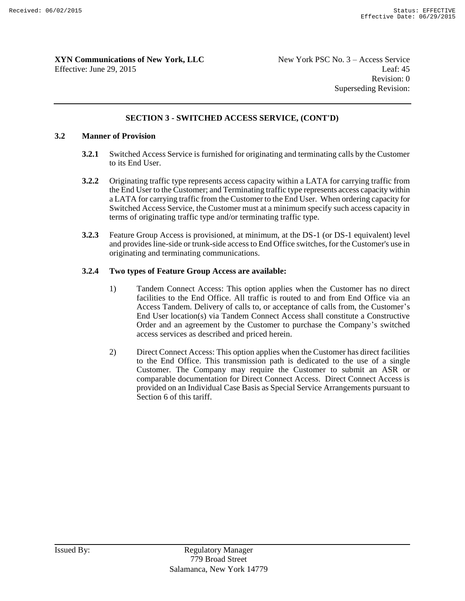Revision: 0 Superseding Revision:

#### **SECTION 3 - SWITCHED ACCESS SERVICE, (CONT'D)**

#### **3.2 Manner of Provision**

- **3.2.1** Switched Access Service is furnished for originating and terminating calls by the Customer to its End User.
- **3.2.2** Originating traffic type represents access capacity within a LATA for carrying traffic from the End User to the Customer; and Terminating traffic type represents access capacity within a LATA for carrying traffic from the Customer to the End User. When ordering capacity for Switched Access Service, the Customer must at a minimum specify such access capacity in terms of originating traffic type and/or terminating traffic type.
- **3.2.3** Feature Group Access is provisioned, at minimum, at the DS-1 (or DS-1 equivalent) level and provides line-side or trunk-side access to End Office switches, for the Customer's use in originating and terminating communications.

#### **3.2.4 Two types of Feature Group Access are available:**

- 1) Tandem Connect Access: This option applies when the Customer has no direct facilities to the End Office. All traffic is routed to and from End Office via an Access Tandem. Delivery of calls to, or acceptance of calls from, the Customer's End User location(s) via Tandem Connect Access shall constitute a Constructive Order and an agreement by the Customer to purchase the Company's switched access services as described and priced herein.
- 2) Direct Connect Access: This option applies when the Customer has direct facilities to the End Office. This transmission path is dedicated to the use of a single Customer. The Company may require the Customer to submit an ASR or comparable documentation for Direct Connect Access. Direct Connect Access is provided on an Individual Case Basis as Special Service Arrangements pursuant to Section 6 of this tariff.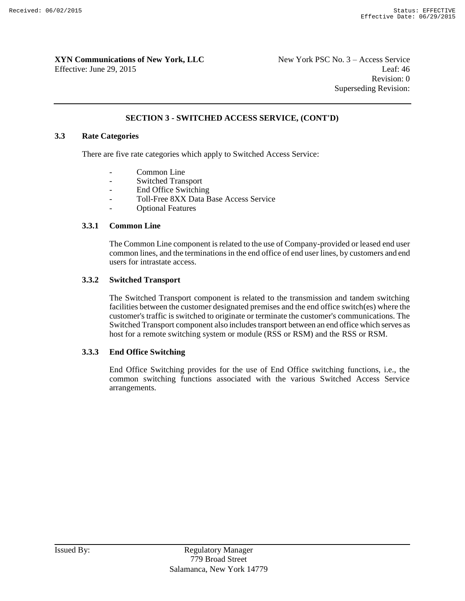Revision: 0 Superseding Revision:

#### **SECTION 3 - SWITCHED ACCESS SERVICE, (CONT'D)**

#### **3.3 Rate Categories**

There are five rate categories which apply to Switched Access Service:

- Common Line
- Switched Transport
- End Office Switching
- Toll-Free 8XX Data Base Access Service
- **Optional Features**

#### **3.3.1 Common Line**

The Common Line component is related to the use of Company-provided or leased end user common lines, and the terminations in the end office of end user lines, by customers and end users for intrastate access.

#### **3.3.2 Switched Transport**

The Switched Transport component is related to the transmission and tandem switching facilities between the customer designated premises and the end office switch(es) where the customer's traffic is switched to originate or terminate the customer's communications. The Switched Transport component also includes transport between an end office which serves as host for a remote switching system or module (RSS or RSM) and the RSS or RSM.

#### **3.3.3 End Office Switching**

End Office Switching provides for the use of End Office switching functions, i.e., the common switching functions associated with the various Switched Access Service arrangements.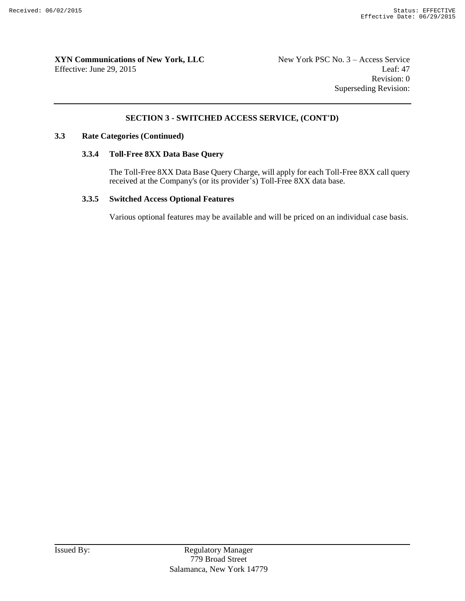Revision: 0 Superseding Revision:

#### **SECTION 3 - SWITCHED ACCESS SERVICE, (CONT'D)**

#### **3.3 Rate Categories (Continued)**

#### **3.3.4 Toll-Free 8XX Data Base Query**

The Toll-Free 8XX Data Base Query Charge, will apply for each Toll-Free 8XX call query received at the Company's (or its provider's) Toll-Free 8XX data base.

#### **3.3.5 Switched Access Optional Features**

Various optional features may be available and will be priced on an individual case basis.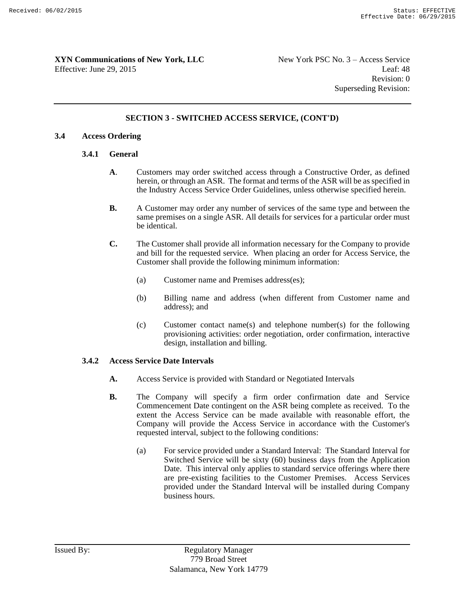#### **SECTION 3 - SWITCHED ACCESS SERVICE, (CONT'D)**

#### **3.4 Access Ordering**

#### **3.4.1 General**

- **A**. Customers may order switched access through a Constructive Order, as defined herein, or through an ASR. The format and terms of the ASR will be as specified in the Industry Access Service Order Guidelines, unless otherwise specified herein.
- **B.** A Customer may order any number of services of the same type and between the same premises on a single ASR. All details for services for a particular order must be identical.
- **C.** The Customer shall provide all information necessary for the Company to provide and bill for the requested service. When placing an order for Access Service, the Customer shall provide the following minimum information:
	- (a) Customer name and Premises address(es);
	- (b) Billing name and address (when different from Customer name and address); and
	- (c) Customer contact name(s) and telephone number(s) for the following provisioning activities: order negotiation, order confirmation, interactive design, installation and billing.

#### **3.4.2 Access Service Date Intervals**

- **A.** Access Service is provided with Standard or Negotiated Intervals
- **B.** The Company will specify a firm order confirmation date and Service Commencement Date contingent on the ASR being complete as received. To the extent the Access Service can be made available with reasonable effort, the Company will provide the Access Service in accordance with the Customer's requested interval, subject to the following conditions:
	- (a) For service provided under a Standard Interval: The Standard Interval for Switched Service will be sixty (60) business days from the Application Date. This interval only applies to standard service offerings where there are pre-existing facilities to the Customer Premises. Access Services provided under the Standard Interval will be installed during Company business hours.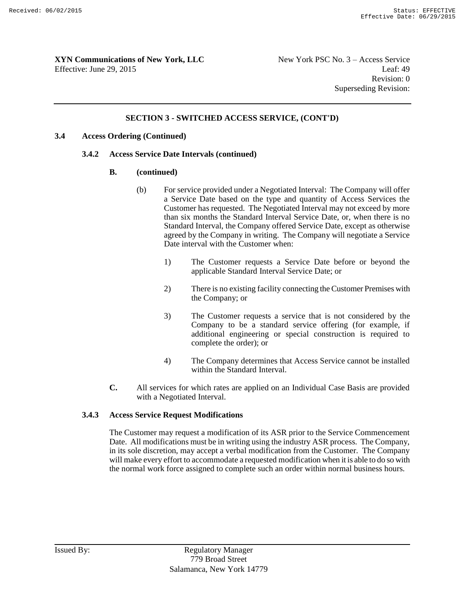#### **SECTION 3 - SWITCHED ACCESS SERVICE, (CONT'D)**

#### **3.4 Access Ordering (Continued)**

#### **3.4.2 Access Service Date Intervals (continued)**

#### **B. (continued)**

- (b) For service provided under a Negotiated Interval: The Company will offer a Service Date based on the type and quantity of Access Services the Customer has requested. The Negotiated Interval may not exceed by more than six months the Standard Interval Service Date, or, when there is no Standard Interval, the Company offered Service Date, except as otherwise agreed by the Company in writing. The Company will negotiate a Service Date interval with the Customer when:
	- 1) The Customer requests a Service Date before or beyond the applicable Standard Interval Service Date; or
	- 2) There is no existing facility connecting the Customer Premises with the Company; or
	- 3) The Customer requests a service that is not considered by the Company to be a standard service offering (for example, if additional engineering or special construction is required to complete the order); or
	- 4) The Company determines that Access Service cannot be installed within the Standard Interval.
- **C.** All services for which rates are applied on an Individual Case Basis are provided with a Negotiated Interval.

#### **3.4.3 Access Service Request Modifications**

The Customer may request a modification of its ASR prior to the Service Commencement Date. All modifications must be in writing using the industry ASR process. The Company, in its sole discretion, may accept a verbal modification from the Customer. The Company will make every effort to accommodate a requested modification when it is able to do so with the normal work force assigned to complete such an order within normal business hours.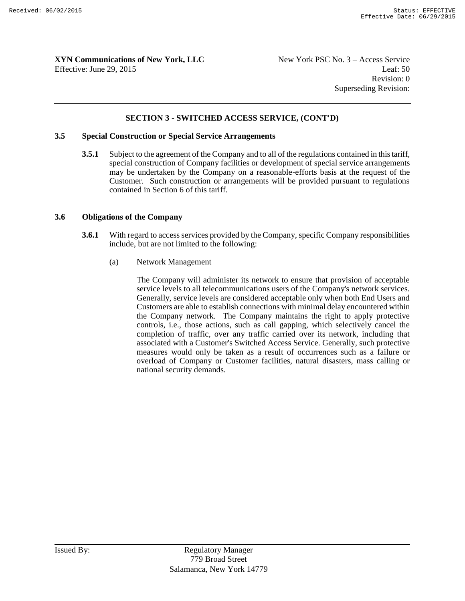Revision: 0 Superseding Revision:

#### **SECTION 3 - SWITCHED ACCESS SERVICE, (CONT'D)**

#### **3.5 Special Construction or Special Service Arrangements**

**3.5.1** Subject to the agreement of the Company and to all of the regulations contained in this tariff, special construction of Company facilities or development of special service arrangements may be undertaken by the Company on a reasonable-efforts basis at the request of the Customer. Such construction or arrangements will be provided pursuant to regulations contained in Section 6 of this tariff.

#### **3.6 Obligations of the Company**

- **3.6.1** With regard to access services provided by the Company, specific Company responsibilities include, but are not limited to the following:
	- (a) Network Management

The Company will administer its network to ensure that provision of acceptable service levels to all telecommunications users of the Company's network services. Generally, service levels are considered acceptable only when both End Users and Customers are able to establish connections with minimal delay encountered within the Company network. The Company maintains the right to apply protective controls, i.e., those actions, such as call gapping, which selectively cancel the completion of traffic, over any traffic carried over its network, including that associated with a Customer's Switched Access Service. Generally, such protective measures would only be taken as a result of occurrences such as a failure or overload of Company or Customer facilities, natural disasters, mass calling or national security demands.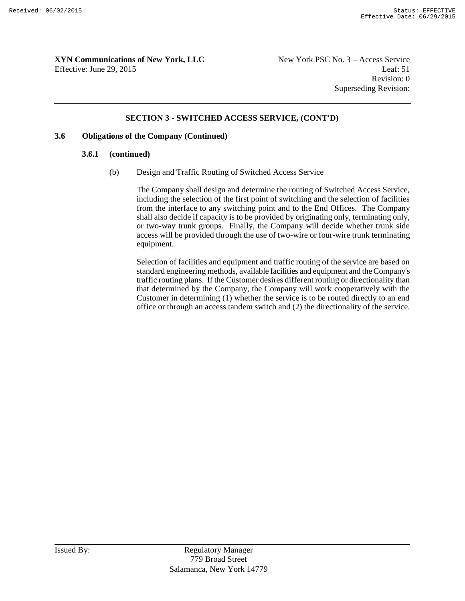Revision: 0 Superseding Revision:

#### **SECTION 3 - SWITCHED ACCESS SERVICE, (CONT'D)**

#### **3.6 Obligations of the Company (Continued)**

#### **3.6.1 (continued)**

(b) Design and Traffic Routing of Switched Access Service

The Company shall design and determine the routing of Switched Access Service, including the selection of the first point of switching and the selection of facilities from the interface to any switching point and to the End Offices. The Company shall also decide if capacity is to be provided by originating only, terminating only, or two-way trunk groups. Finally, the Company will decide whether trunk side access will be provided through the use of two-wire or four-wire trunk terminating equipment.

Selection of facilities and equipment and traffic routing of the service are based on standard engineering methods, available facilities and equipment and the Company's traffic routing plans. If the Customer desires different routing or directionality than that determined by the Company, the Company will work cooperatively with the Customer in determining (1) whether the service is to be routed directly to an end office or through an access tandem switch and (2) the directionality of the service.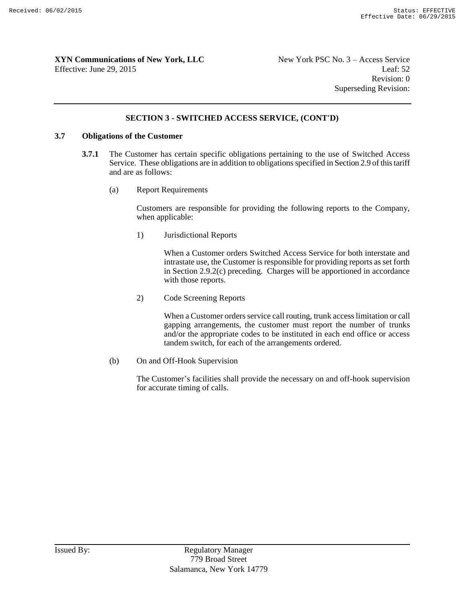Revision: 0 Superseding Revision:

#### **SECTION 3 - SWITCHED ACCESS SERVICE, (CONT'D)**

#### **3.7 Obligations of the Customer**

- **3.7.1** The Customer has certain specific obligations pertaining to the use of Switched Access Service. These obligations are in addition to obligations specified in Section 2.9 of this tariff and are as follows:
	- (a) Report Requirements

Customers are responsible for providing the following reports to the Company, when applicable:

1) Jurisdictional Reports

When a Customer orders Switched Access Service for both interstate and intrastate use, the Customer is responsible for providing reports as set forth in Section 2.9.2(c) preceding. Charges will be apportioned in accordance with those reports.

2) Code Screening Reports

When a Customer orders service call routing, trunk access limitation or call gapping arrangements, the customer must report the number of trunks and/or the appropriate codes to be instituted in each end office or access tandem switch, for each of the arrangements ordered.

(b) On and Off-Hook Supervision

The Customer's facilities shall provide the necessary on and off-hook supervision for accurate timing of calls.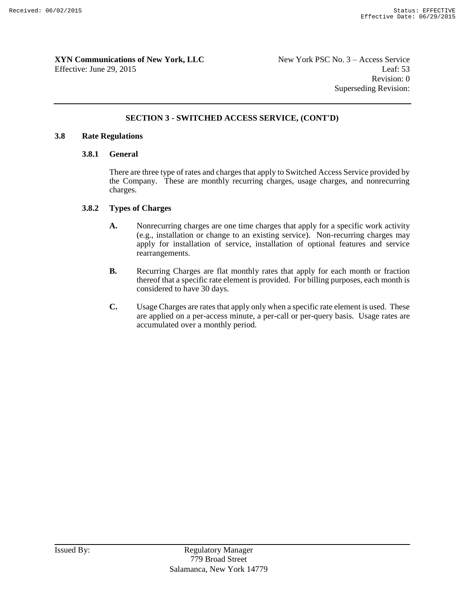Revision: 0 Superseding Revision:

#### **SECTION 3 - SWITCHED ACCESS SERVICE, (CONT'D)**

#### **3.8 Rate Regulations**

#### **3.8.1 General**

There are three type of rates and charges that apply to Switched Access Service provided by the Company. These are monthly recurring charges, usage charges, and nonrecurring charges.

#### **3.8.2 Types of Charges**

- **A.** Nonrecurring charges are one time charges that apply for a specific work activity (e.g., installation or change to an existing service). Non-recurring charges may apply for installation of service, installation of optional features and service rearrangements.
- **B.** Recurring Charges are flat monthly rates that apply for each month or fraction thereof that a specific rate element is provided. For billing purposes, each month is considered to have 30 days.
- **C.** Usage Charges are rates that apply only when a specific rate element is used. These are applied on a per-access minute, a per-call or per-query basis. Usage rates are accumulated over a monthly period.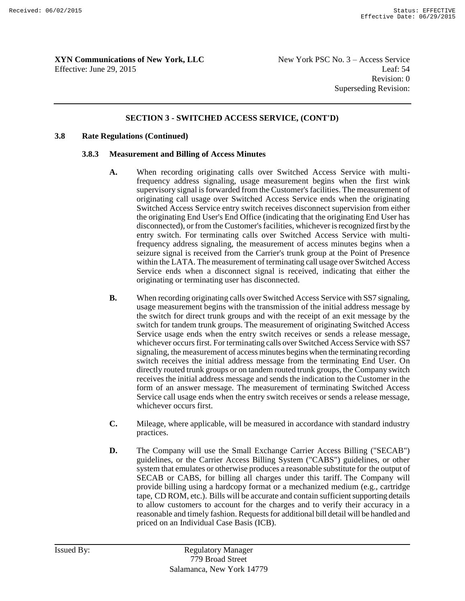#### **SECTION 3 - SWITCHED ACCESS SERVICE, (CONT'D)**

#### **3.8 Rate Regulations (Continued)**

#### **3.8.3 Measurement and Billing of Access Minutes**

- **A.** When recording originating calls over Switched Access Service with multifrequency address signaling, usage measurement begins when the first wink supervisory signal is forwarded from the Customer's facilities. The measurement of originating call usage over Switched Access Service ends when the originating Switched Access Service entry switch receives disconnect supervision from either the originating End User's End Office (indicating that the originating End User has disconnected), or from the Customer's facilities, whichever is recognized first by the entry switch. For terminating calls over Switched Access Service with multifrequency address signaling, the measurement of access minutes begins when a seizure signal is received from the Carrier's trunk group at the Point of Presence within the LATA. The measurement of terminating call usage over Switched Access Service ends when a disconnect signal is received, indicating that either the originating or terminating user has disconnected.
- **B.** When recording originating calls over Switched Access Service with SS7 signaling, usage measurement begins with the transmission of the initial address message by the switch for direct trunk groups and with the receipt of an exit message by the switch for tandem trunk groups. The measurement of originating Switched Access Service usage ends when the entry switch receives or sends a release message, whichever occurs first. For terminating calls over Switched Access Service with SS7 signaling, the measurement of access minutes begins when the terminating recording switch receives the initial address message from the terminating End User. On directly routed trunk groups or on tandem routed trunk groups, the Company switch receives the initial address message and sends the indication to the Customer in the form of an answer message. The measurement of terminating Switched Access Service call usage ends when the entry switch receives or sends a release message, whichever occurs first.
- **C.** Mileage, where applicable, will be measured in accordance with standard industry practices.
- **D.** The Company will use the Small Exchange Carrier Access Billing ("SECAB") guidelines, or the Carrier Access Billing System ("CABS") guidelines, or other system that emulates or otherwise produces a reasonable substitute for the output of SECAB or CABS, for billing all charges under this tariff. The Company will provide billing using a hardcopy format or a mechanized medium (e.g., cartridge tape, CD ROM, etc.). Bills will be accurate and contain sufficient supporting details to allow customers to account for the charges and to verify their accuracy in a reasonable and timely fashion. Requests for additional bill detail will be handled and priced on an Individual Case Basis (ICB).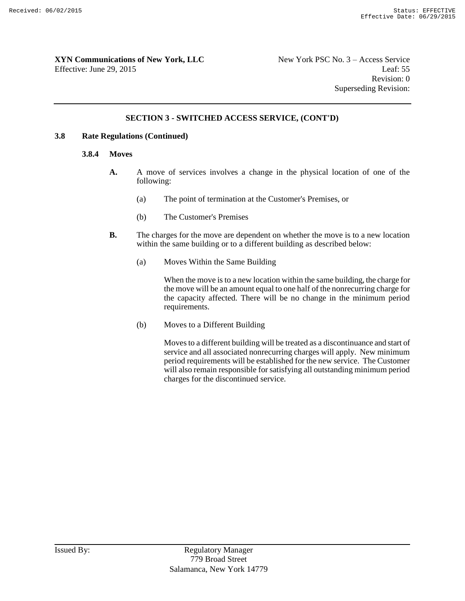#### **SECTION 3 - SWITCHED ACCESS SERVICE, (CONT'D)**

#### **3.8 Rate Regulations (Continued)**

#### **3.8.4 Moves**

- **A.** A move of services involves a change in the physical location of one of the following:
	- (a) The point of termination at the Customer's Premises, or
	- (b) The Customer's Premises
- **B.** The charges for the move are dependent on whether the move is to a new location within the same building or to a different building as described below:
	- (a) Moves Within the Same Building

When the move is to a new location within the same building, the charge for the move will be an amount equal to one half of the nonrecurring charge for the capacity affected. There will be no change in the minimum period requirements.

(b) Moves to a Different Building

Moves to a different building will be treated as a discontinuance and start of service and all associated nonrecurring charges will apply. New minimum period requirements will be established for the new service. The Customer will also remain responsible for satisfying all outstanding minimum period charges for the discontinued service.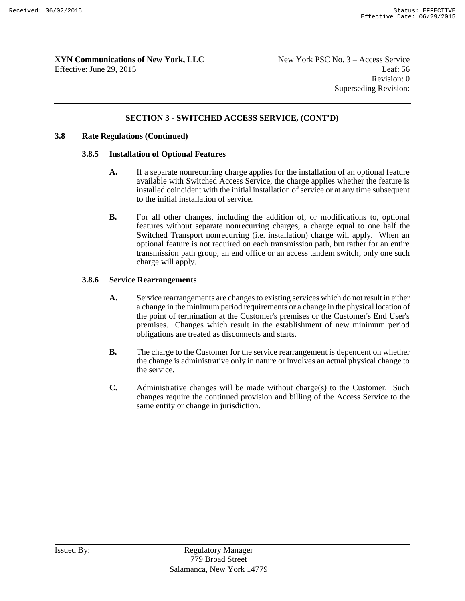#### **SECTION 3 - SWITCHED ACCESS SERVICE, (CONT'D)**

#### **3.8 Rate Regulations (Continued)**

#### **3.8.5 Installation of Optional Features**

- **A.** If a separate nonrecurring charge applies for the installation of an optional feature available with Switched Access Service, the charge applies whether the feature is installed coincident with the initial installation of service or at any time subsequent to the initial installation of service.
- **B.** For all other changes, including the addition of, or modifications to, optional features without separate nonrecurring charges, a charge equal to one half the Switched Transport nonrecurring (i.e. installation) charge will apply. When an optional feature is not required on each transmission path, but rather for an entire transmission path group, an end office or an access tandem switch, only one such charge will apply.

#### **3.8.6 Service Rearrangements**

- **A.** Service rearrangements are changes to existing services which do not result in either a change in the minimum period requirements or a change in the physical location of the point of termination at the Customer's premises or the Customer's End User's premises. Changes which result in the establishment of new minimum period obligations are treated as disconnects and starts.
- **B.** The charge to the Customer for the service rearrangement is dependent on whether the change is administrative only in nature or involves an actual physical change to the service.
- **C.** Administrative changes will be made without charge(s) to the Customer. Such changes require the continued provision and billing of the Access Service to the same entity or change in jurisdiction.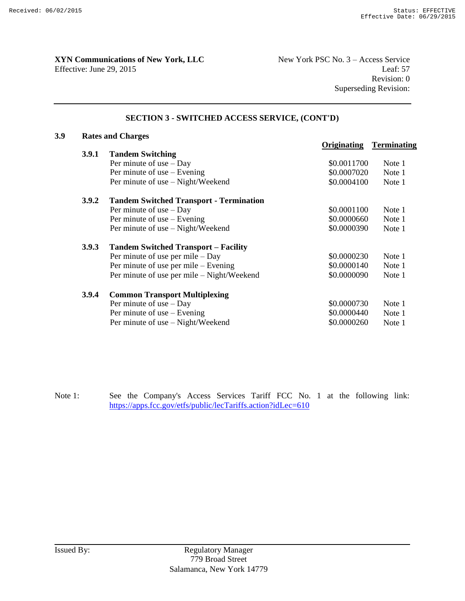**XYN Communications of New York, LLC** New York PSC No. 3 – Access Service

Effective: June 29, 2015 Leaf: 57 Revision: 0 Superseding Revision:

## **SECTION 3 - SWITCHED ACCESS SERVICE, (CONT'D)**

| 3.9 | <b>Rates and Charges</b> |                                                |             |                    |  |  |
|-----|--------------------------|------------------------------------------------|-------------|--------------------|--|--|
|     |                          |                                                | Originating | <b>Terminating</b> |  |  |
|     | 3.9.1                    | <b>Tandem Switching</b>                        |             |                    |  |  |
|     |                          | Per minute of use $-$ Day                      | \$0.0011700 | Note 1             |  |  |
|     |                          | Per minute of use $-$ Evening                  | \$0.0007020 | Note 1             |  |  |
|     |                          | Per minute of use - Night/Weekend              | \$0.0004100 | Note 1             |  |  |
|     | 3.9.2                    | <b>Tandem Switched Transport - Termination</b> |             |                    |  |  |
|     |                          | Per minute of use $-$ Day                      | \$0.0001100 | Note 1             |  |  |
|     |                          | Per minute of use – Evening                    | \$0.0000660 | Note 1             |  |  |
|     |                          | Per minute of use – Night/Weekend              | \$0.0000390 | Note 1             |  |  |
|     | 3.9.3                    | <b>Tandem Switched Transport – Facility</b>    |             |                    |  |  |
|     |                          | Per minute of use per mile $-$ Day             | \$0.0000230 | Note 1             |  |  |
|     |                          | Per minute of use per mile – Evening           | \$0.0000140 | Note 1             |  |  |
|     |                          | Per minute of use per mile – Night/Weekend     | \$0.0000090 | Note 1             |  |  |
|     | 3.9.4                    | <b>Common Transport Multiplexing</b>           |             |                    |  |  |
|     |                          | Per minute of use $-$ Day                      | \$0.0000730 | Note 1             |  |  |
|     |                          | Per minute of use – Evening                    | \$0.0000440 | Note 1             |  |  |
|     |                          | Per minute of use – Night/Weekend              | \$0.0000260 | Note 1             |  |  |

Note 1: See the Company's Access Services Tariff FCC No. 1 at the following link: https://apps.fcc.gov/etfs/public/lecTariffs.action?idLec=610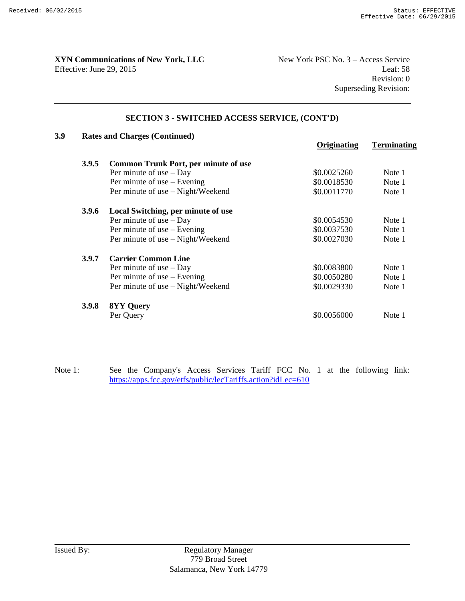# **XYN Communications of New York, LLC** New York PSC No. 3 – Access Service

Effective: June 29, 2015 Leaf: 58 Revision: 0 Superseding Revision:

#### **SECTION 3 - SWITCHED ACCESS SERVICE, (CONT'D)**

| 3.9 |              | <b>Rates and Charges (Continued)</b>        |             |                    |  |  |
|-----|--------------|---------------------------------------------|-------------|--------------------|--|--|
|     |              |                                             | Originating | <b>Terminating</b> |  |  |
|     | 3.9.5        | <b>Common Trunk Port, per minute of use</b> |             |                    |  |  |
|     |              | Per minute of use $-$ Day                   | \$0.0025260 | Note 1             |  |  |
|     |              | Per minute of use $-$ Evening               | \$0.0018530 | Note 1             |  |  |
|     |              | Per minute of use - Night/Weekend           | \$0.0011770 | Note 1             |  |  |
|     | <b>3.9.6</b> | Local Switching, per minute of use          |             |                    |  |  |
|     |              | Per minute of use $-$ Day                   | \$0.0054530 | Note 1             |  |  |
|     |              | Per minute of use $-$ Evening               | \$0.0037530 | Note 1             |  |  |
|     |              | Per minute of use – Night/Weekend           | \$0.0027030 | Note 1             |  |  |
|     | 3.9.7        | <b>Carrier Common Line</b>                  |             |                    |  |  |
|     |              | Per minute of use $-$ Day                   | \$0.0083800 | Note 1             |  |  |
|     |              | Per minute of use $-$ Evening               | \$0.0050280 | Note 1             |  |  |
|     |              | Per minute of use – Night/Weekend           | \$0.0029330 | Note 1             |  |  |
|     | <b>3.9.8</b> | <b>8YY Query</b>                            |             |                    |  |  |
|     |              | Per Query                                   | \$0.0056000 | Note 1             |  |  |

Note 1: See the Company's Access Services Tariff FCC No. 1 at the following link: https://apps.fcc.gov/etfs/public/lecTariffs.action?idLec=610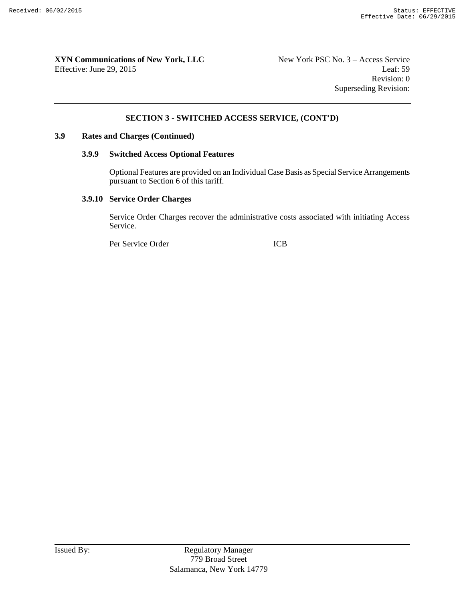#### **SECTION 3 - SWITCHED ACCESS SERVICE, (CONT'D)**

#### **3.9 Rates and Charges (Continued)**

#### **3.9.9 Switched Access Optional Features**

Optional Features are provided on an Individual Case Basis as Special Service Arrangements pursuant to Section 6 of this tariff.

#### **3.9.10 Service Order Charges**

Service Order Charges recover the administrative costs associated with initiating Access Service.

Per Service Order ICB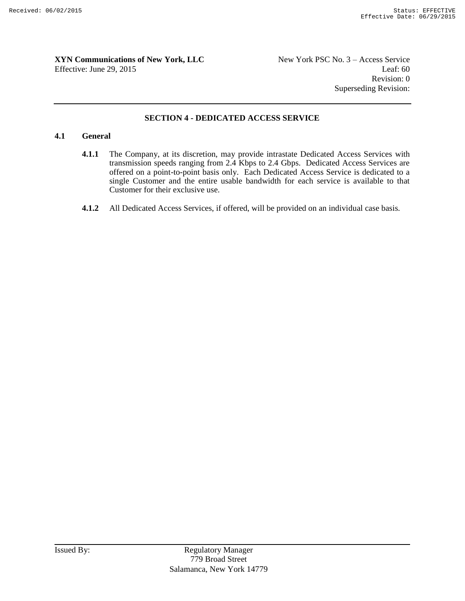Revision: 0 Superseding Revision:

#### **SECTION 4 - DEDICATED ACCESS SERVICE**

#### **4.1 General**

- **4.1.1** The Company, at its discretion, may provide intrastate Dedicated Access Services with transmission speeds ranging from 2.4 Kbps to 2.4 Gbps. Dedicated Access Services are offered on a point-to-point basis only. Each Dedicated Access Service is dedicated to a single Customer and the entire usable bandwidth for each service is available to that Customer for their exclusive use.
- **4.1.2** All Dedicated Access Services, if offered, will be provided on an individual case basis.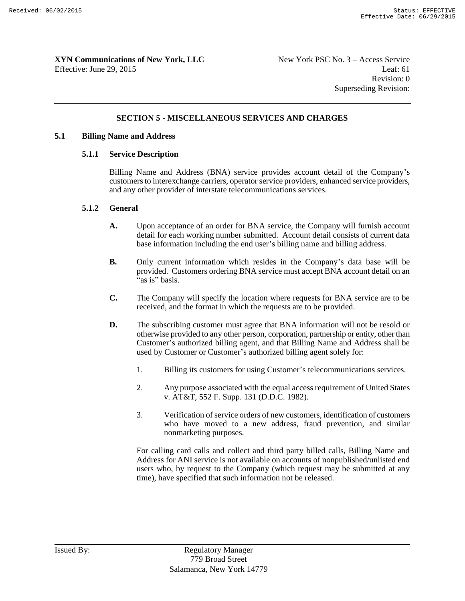#### **SECTION 5 - MISCELLANEOUS SERVICES AND CHARGES**

#### **5.1 Billing Name and Address**

#### **5.1.1 Service Description**

Billing Name and Address (BNA) service provides account detail of the Company's customers to interexchange carriers, operator service providers, enhanced service providers, and any other provider of interstate telecommunications services.

#### **5.1.2 General**

- **A.** Upon acceptance of an order for BNA service, the Company will furnish account detail for each working number submitted. Account detail consists of current data base information including the end user's billing name and billing address.
- **B.** Only current information which resides in the Company's data base will be provided. Customers ordering BNA service must accept BNA account detail on an  $a$ as is" basis.
- **C.** The Company will specify the location where requests for BNA service are to be received, and the format in which the requests are to be provided.
- **D.** The subscribing customer must agree that BNA information will not be resold or otherwise provided to any other person, corporation, partnership or entity, other than Customer's authorized billing agent, and that Billing Name and Address shall be used by Customer or Customer's authorized billing agent solely for:
	- 1. Billing its customers for using Customer's telecommunications services.
	- 2. Any purpose associated with the equal access requirement of United States v. AT&T, 552 F. Supp. 131 (D.D.C. 1982).
	- 3. Verification of service orders of new customers, identification of customers who have moved to a new address, fraud prevention, and similar nonmarketing purposes.

For calling card calls and collect and third party billed calls, Billing Name and Address for ANI service is not available on accounts of nonpublished/unlisted end users who, by request to the Company (which request may be submitted at any time), have specified that such information not be released.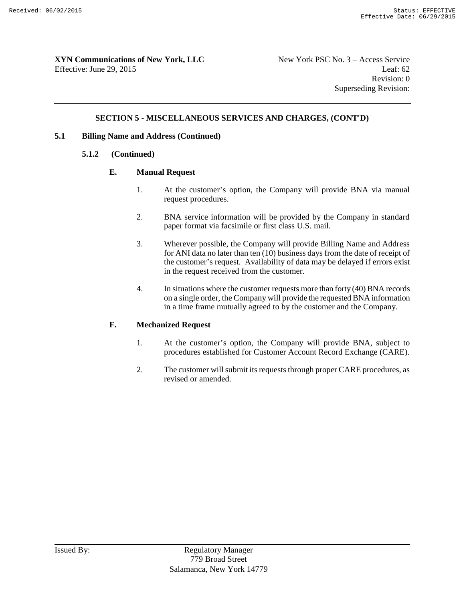#### **SECTION 5 - MISCELLANEOUS SERVICES AND CHARGES, (CONT'D)**

#### **5.1 Billing Name and Address (Continued)**

#### **5.1.2 (Continued)**

#### **E. Manual Request**

- 1. At the customer's option, the Company will provide BNA via manual request procedures.
- 2. BNA service information will be provided by the Company in standard paper format via facsimile or first class U.S. mail.
- 3. Wherever possible, the Company will provide Billing Name and Address for ANI data no later than ten (10) business days from the date of receipt of the customer's request. Availability of data may be delayed if errors exist in the request received from the customer.
- 4. In situations where the customer requests more than forty (40) BNA records on a single order, the Company will provide the requested BNA information in a time frame mutually agreed to by the customer and the Company.

#### **F. Mechanized Request**

- 1. At the customer's option, the Company will provide BNA, subject to procedures established for Customer Account Record Exchange (CARE).
- 2. The customer will submit its requests through proper CARE procedures, as revised or amended.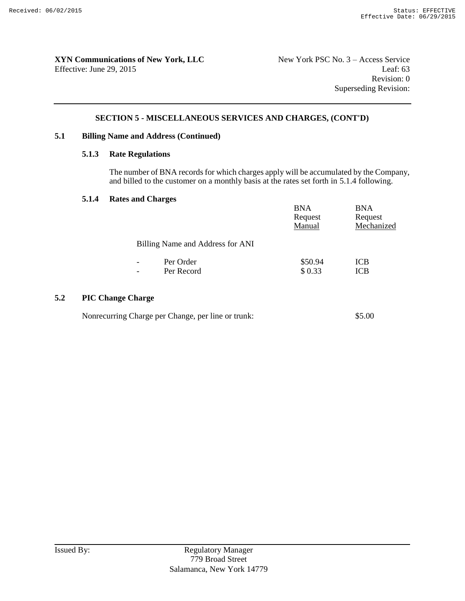#### **SECTION 5 - MISCELLANEOUS SERVICES AND CHARGES, (CONT'D)**

#### **5.1 Billing Name and Address (Continued)**

#### **5.1.3 Rate Regulations**

The number of BNA records for which charges apply will be accumulated by the Company, and billed to the customer on a monthly basis at the rates set forth in 5.1.4 following.

#### **5.1.4 Rates and Charges**

|     |                          |                                  | <b>BNA</b><br>Request<br>Manual | <b>BNA</b><br>Request<br>Mechanized |
|-----|--------------------------|----------------------------------|---------------------------------|-------------------------------------|
|     |                          | Billing Name and Address for ANI |                                 |                                     |
|     | $\overline{\phantom{a}}$ | Per Order                        | \$50.94                         | <b>ICB</b>                          |
|     | $\overline{\phantom{a}}$ | Per Record                       | \$0.33                          | <b>ICB</b>                          |
| 5.2 | <b>PIC Change Charge</b> |                                  |                                 |                                     |

| Nonrecurring Charge per Change, per line or trunk: | \$5.00 |
|----------------------------------------------------|--------|
|----------------------------------------------------|--------|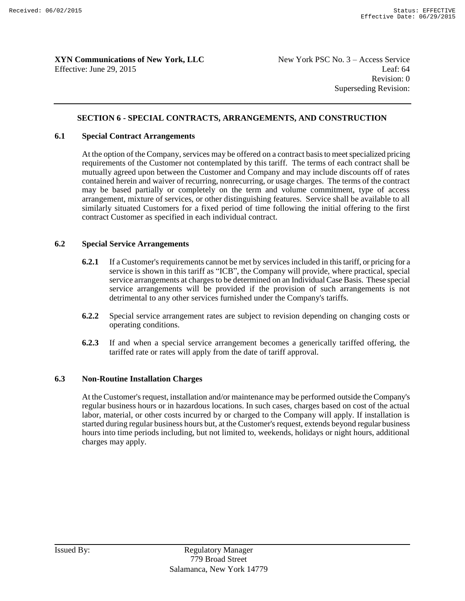Revision: 0 Superseding Revision:

#### **SECTION 6 - SPECIAL CONTRACTS, ARRANGEMENTS, AND CONSTRUCTION**

#### **6.1 Special Contract Arrangements**

At the option of the Company, services may be offered on a contract basis to meet specialized pricing requirements of the Customer not contemplated by this tariff. The terms of each contract shall be mutually agreed upon between the Customer and Company and may include discounts off of rates contained herein and waiver of recurring, nonrecurring, or usage charges. The terms of the contract may be based partially or completely on the term and volume commitment, type of access arrangement, mixture of services, or other distinguishing features. Service shall be available to all similarly situated Customers for a fixed period of time following the initial offering to the first contract Customer as specified in each individual contract.

#### **6.2 Special Service Arrangements**

- **6.2.1** If a Customer's requirements cannot be met by services included in this tariff, or pricing for a service is shown in this tariff as "ICB", the Company will provide, where practical, special service arrangements at charges to be determined on an Individual Case Basis. These special service arrangements will be provided if the provision of such arrangements is not detrimental to any other services furnished under the Company's tariffs.
- **6.2.2** Special service arrangement rates are subject to revision depending on changing costs or operating conditions.
- **6.2.3** If and when a special service arrangement becomes a generically tariffed offering, the tariffed rate or rates will apply from the date of tariff approval.

#### **6.3 Non-Routine Installation Charges**

At the Customer's request, installation and/or maintenance may be performed outside the Company's regular business hours or in hazardous locations. In such cases, charges based on cost of the actual labor, material, or other costs incurred by or charged to the Company will apply. If installation is started during regular business hours but, at the Customer's request, extends beyond regular business hours into time periods including, but not limited to, weekends, holidays or night hours, additional charges may apply.